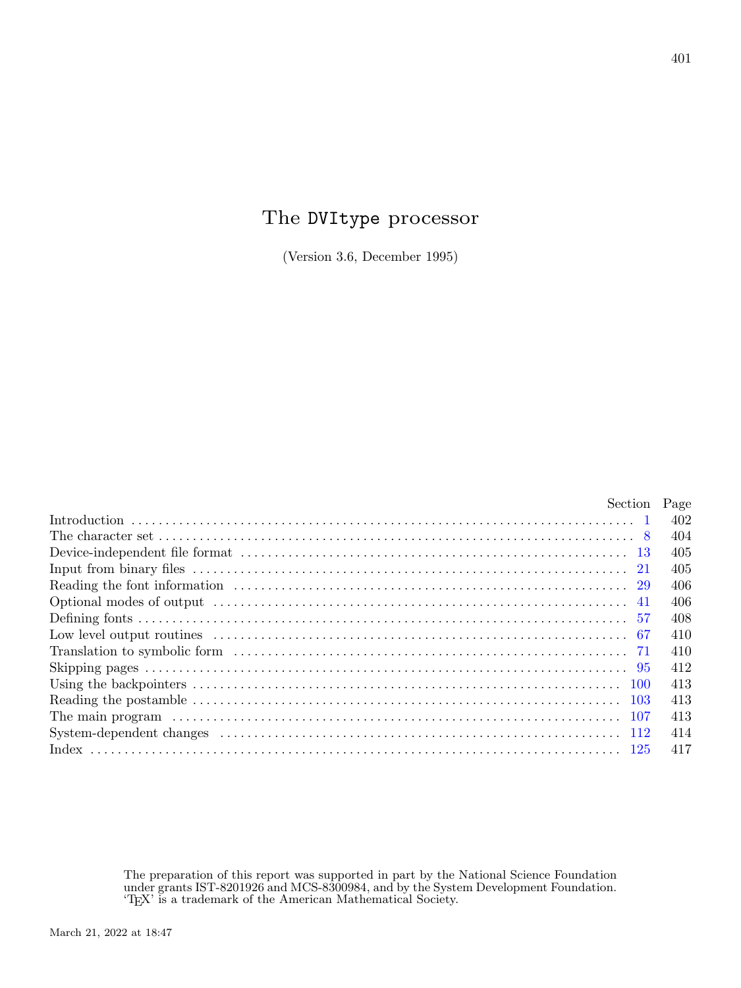# The DVItype processor

(Version 3.6, December 1995)

| Section Page |     |
|--------------|-----|
|              | 402 |
|              | 404 |
|              | 405 |
|              | 405 |
|              | 406 |
|              | 406 |
|              | 408 |
|              | 410 |
|              | 410 |
|              | 412 |
|              | 413 |
|              | 413 |
|              | 413 |
|              | 414 |
|              | 417 |

The preparation of this report was supported in part by the National Science Foundation under grants IST-8201926 and MCS-8300984, and by the System Development Foundation. 'TEX' is a trademark of the American Mathematical Society.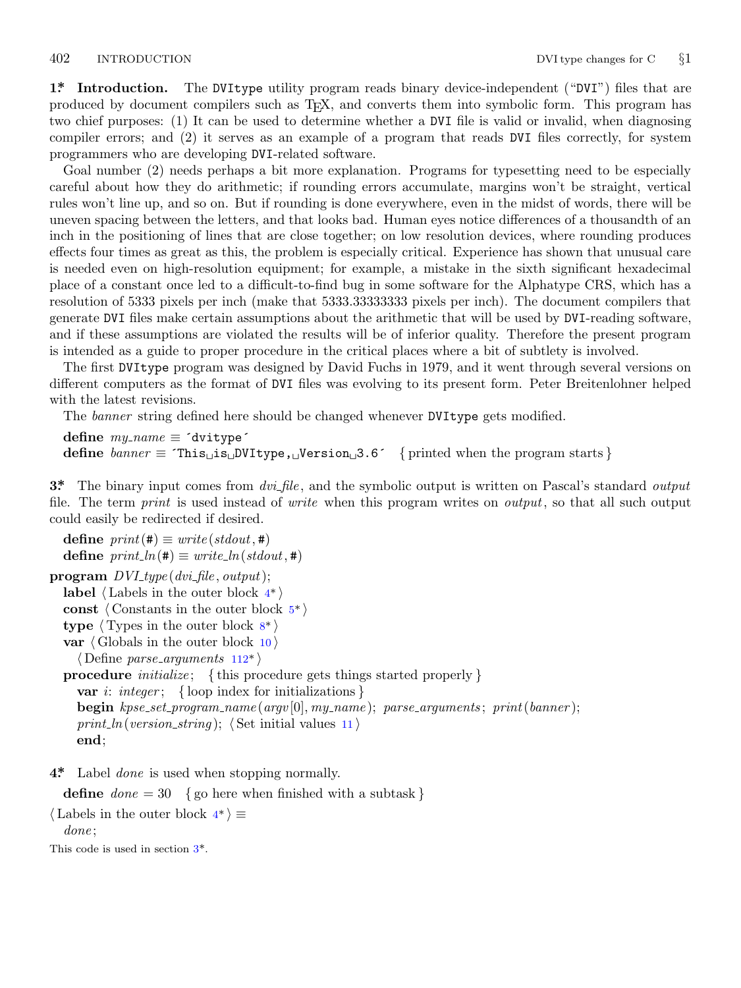<span id="page-1-0"></span>**1\*. Introduction.** The DVItype utility program reads binary device-independent ("DVI") files that are produced by document compilers such as TEX, and converts them into symbolic form. This program has two chief purposes: (1) It can be used to determine whether a DVI file is valid or invalid, when diagnosing compiler errors; and (2) it serves as an example of a program that reads DVI files correctly, for system programmers who are developing DVI-related software.

Goal number (2) needs perhaps a bit more explanation. Programs for typesetting need to be especially careful about how they do arithmetic; if rounding errors accumulate, margins won't be straight, vertical rules won't line up, and so on. But if rounding is done everywhere, even in the midst of words, there will be uneven spacing between the letters, and that looks bad. Human eyes notice differences of a thousandth of an inch in the positioning of lines that are close together; on low resolution devices, where rounding produces effects four times as great as this, the problem is especially critical. Experience has shown that unusual care is needed even on high-resolution equipment; for example, a mistake in the sixth significant hexadecimal place of a constant once led to a difficult-to-find bug in some software for the Alphatype CRS, which has a resolution of 5333 pixels per inch (make that 5333.33333333 pixels per inch). The document compilers that generate DVI files make certain assumptions about the arithmetic that will be used by DVI-reading software, and if these assumptions are violated the results will be of inferior quality. Therefore the present program is intended as a guide to proper procedure in the critical places where a bit of subtlety is involved.

The first DVItype program was designed by David Fuchs in 1979, and it went through several versions on different computers as the format of DVI files was evolving to its present form. Peter Breitenlohner helped with the latest revisions.

The *banner* string defined here should be changed whenever DVItype gets modified.

 $define \, my\_name \equiv 'divitype'$ **define** *banner ≡* ´This␣is␣DVItype,␣Version␣3.6´ *{* printed when the program starts *}*

**3\*.** The binary input comes from *dvi file* , and the symbolic output is written on Pascal's standard *output* file. The term *print* is used instead of *[w](#page-2-0)rite* when this program writes on *output*, so that all such output could easily be redirected if desire[d.](#page-3-0)

 $\text{define } print(\texttt{\#}) \equiv write (stdout, \texttt{\#})$  $\text{define } print\_ln(\texttt{\#}) \equiv write\_ln(\textit{stdout},\texttt{\#})$  $\text{define } print\_ln(\texttt{\#}) \equiv write\_ln(\textit{stdout},\texttt{\#})$  $\text{define } print\_ln(\texttt{\#}) \equiv write\_ln(\textit{stdout},\texttt{\#})$ **program** *DVI type* (*dvi file , output*); **label** *⟨* Labels in the outer block 4\* *⟩* **const** *⟨* Constants in the outer block 5\* *⟩* **type** *⟨* Types in the outer block 8\* *⟩* **var** *⟨* Globals in the outer block 10 *⟩ ⟨* Define *parse arguments* 112\* *⟩* **procedure** *initialize* ; *{* this procedure gets things started properly *}* **var** *i*: *integer* ; *{* loop index for initializations *}* **begin** *kpse set program name* (*argv* [0]*, my name* ); *parse arguments* ; *print*(*banner* );  $print\_ln(version\_string);$   $\langle$  Set initial values 11  $\rangle$ **end**;

**4\*.** Label *done* is used when stopping normally.

**define** *done* = 30 *{* go here when finished with a subtask *}*

*⟨* Labels in the outer block 4\* *⟩ ≡*

*done* ;

This code is used in section 3\*.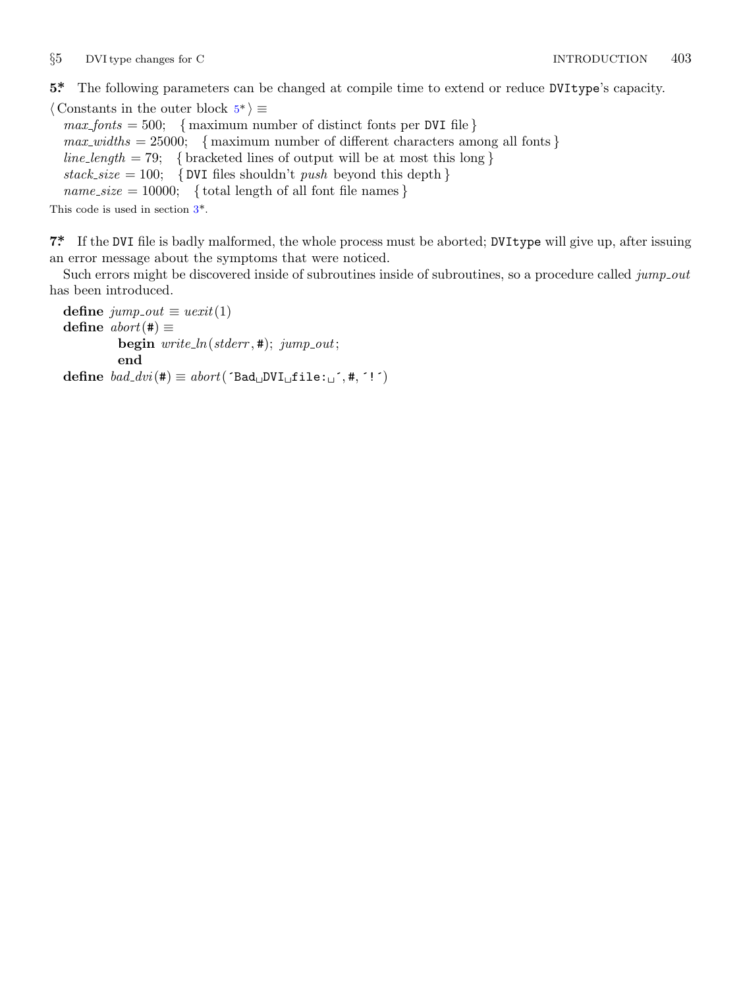<span id="page-2-0"></span>*§*5 DVI type changes for C INTRODUCTION 403

**5\*.** The following parameters can be changed at compile time to extend or reduce DVItype's capacity.

*⟨* Constants in the outer [b](#page-1-0)lock 5\* *⟩ ≡*  $max\_ fonts = 500;$  { maximum number of distinct fonts per DVI file }  $max\_widths = 25000;$  {maximum number of different characters among all fonts }  $line_length = 79;$  {bracketed lines of output will be at most this long }  $stack_size = 100;$  {DVI files shouldn't *push* beyond this depth }  $name\_size = 10000;$  { total length of all font file names }

This code is used in section 3\*.

**7\*.** If the DVI file is badly malformed, the whole process must be aborted; DVItype will give up, after issuing an error message about the symptoms that were noticed.

Such errors might be discovered inside of subroutines inside of subroutines, so a procedure called *jump\_out* has been introduced.

**define**  $jump\_out \equiv uexit(1)$ **define**  $abort$  (#)  $\equiv$ **begin** *write ln*(*stderr ,* #); *jump out*; **end**  $\text{define } bad\_dvi(\texttt{\#}) \equiv abort(\text{'}Bad\_DVI \sqcup \texttt{file:}\sqcup \text{'}, \texttt{\#}, \text{'!'})$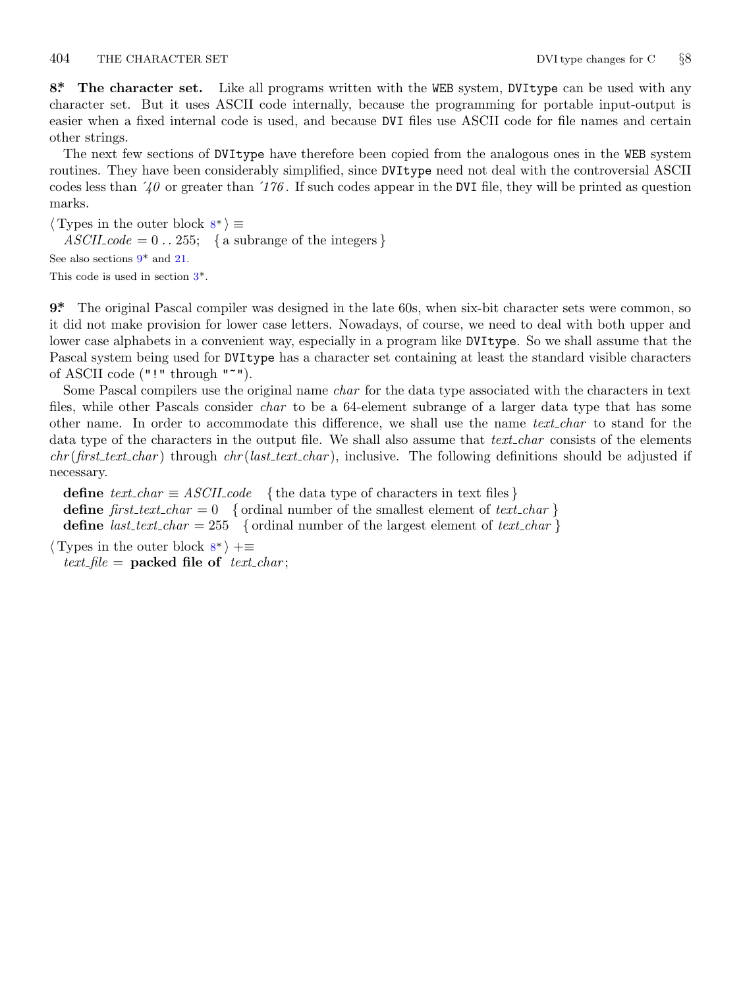<span id="page-3-0"></span>404 THE CHARACTER SET DVI type changes for C *§*8

**8\*. The character set.** Like all programs written with the WEB system, DVItype can be used with any character set. But it uses ASCII code internally, because the programming for portable input-output is easier when a fixed internal code is used, and because DVI files use ASCII code for file names and certain other strings.

The next few sections of DVItype have therefore been copied from the analogous ones in the WEB system routines. They have bee[n](#page-1-0) considerably simplified, since DVItype need not deal with the controversial ASCII codes less than ´*40* or greater than ´*176* . If such codes appear in the DVI file, they will be printed as question marks.

*⟨* Types in the outer block 8\* *⟩ ≡*

 $ASCII\_code = 0$ . 255; { a subrange of the integers } See also sections 9\* and 21. This code is used in section 3\*.

**9\*.** The original Pascal compiler was designed in the late 60s, when six-bit character sets were common, so it did not make provision for lower case letters. Nowadays, of course, we need to deal with both upper and lower case alphabets in a convenient way, especially in a program like DVItype. So we shall assume that the Pascal system being used for DVItype has a character set containing at least the standard visible characters of ASCII code ("!" through "~").

Some Pascal compilers use the original name *char* for the data type associated with the characters in text files, while other Pascals consider *char* to be a 64-element subrange of a larger data type that has some other name. In order to accommodate this difference, we shall use the name *text char* to stand for the data type of the characters in the output file. We shall also assume that *text char* consists of the elements *chr* (*first text char* ) through *chr* (*last text char* ), inclusive. The following definitions should be adjusted if necessary.

**define**  $text\_text\_char \equiv ASCII\_code$  { the data type of characters in text files } **define**  $first\_text\_char = 0$  {ordinal number of the smallest element of  $text\_char \}$ } **define** *last\_text\_char* = 255 { ordinal number of the largest element of *text\_char* }

*⟨* Types in the outer block 8\* *⟩* +*≡*

 $text$ *file* = **packed file of**  $text$ *ctext\_char*;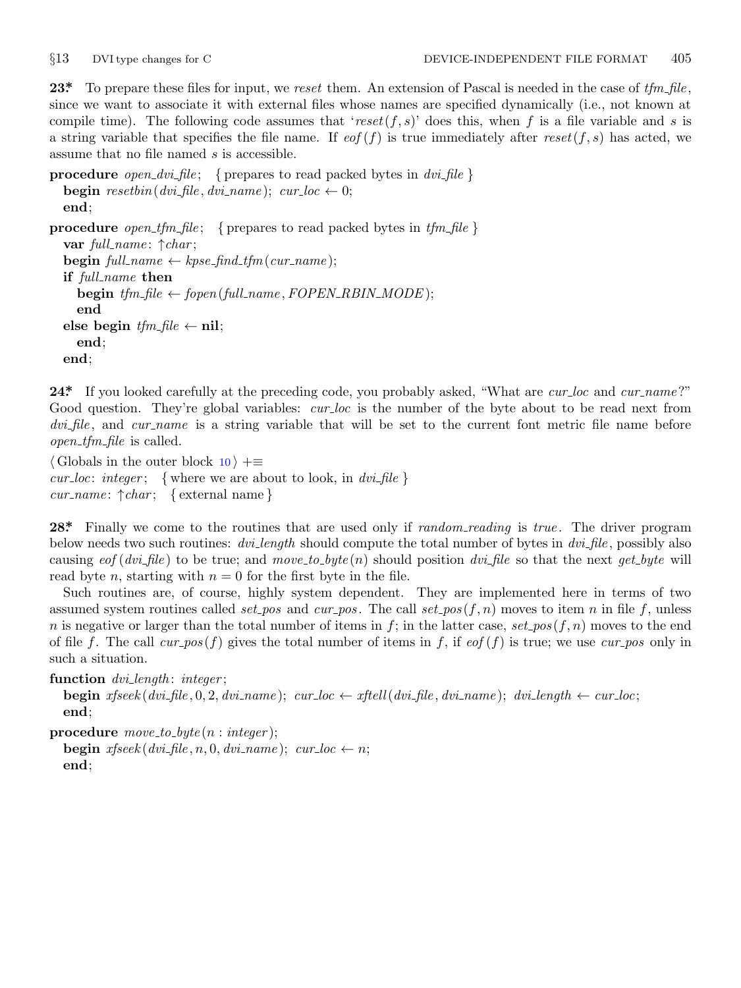<span id="page-4-0"></span>

**23\*.** To prepare these files for input, we *reset* them. An extension of Pascal is needed in the case of *tfm file* , since we want to associate it with external files whose names are specified dynamically (i.e., not known at compile time). The following code assumes that '*reset*(*f, s*)' does this, when *f* is a file variable and *s* is a string variable that specifies the file name. If  $\epsilon$  (*f*) is true immediately after  $\epsilon$  *reset*(*f, s*) has acted, we assume that no file named *s* is accessible.

```
procedure open dvi file ; { prepares to read packed bytes in dvi file }
    begin resetbin(dvi file, dvi name); cur loc \leftarrow 0;
    end;
procedure open tfm file ; { prepares to read packed bytes in tfm file }
    var full name : ↑char ;
    \textbf{begin} \textit{full\_name} \leftarrow \textit{kpse\_find\_tfm}(\textit{cur\_name});if full name then
         \mathbf{begin} \mathbf{f}(m,m,n) \in \mathcal{F}(\mathcal{F}(m,m),\mathcal{F}(m,m),\mathcal{F}(m,m),\mathcal{F}(m,m),\mathcal{F}(m,m),\mathcal{F}(m,m),\mathcal{F}(m,m),\mathcal{F}(m,m),\mathcal{F}(m,m),\mathcal{F}(m,m),\mathcal{F}(m,m),\mathcal{F}(m,m),\mathcal{F}(m,m),\mathcal{F}(m,m),\mathcal{F}(m,m),\mathcal{F}(m,m),\mathcal{F}(m,m),\mathcal{F}(m,m),\mathcal{F}(m,m),\mathcal{F}(m,m),\mathcal{F}(m,m),\mathcal{F}(mend
    \mathbf{else} begin \mathit{tfm\_file} \leftarrow \mathbf{nil};
         end;
    end;
```
**24\*.** If you looked carefully at the preceding code, you probably asked, "What are *cur loc* and *cur name* ?" Good question. They're global variables: *cur loc* is the number of the byte about to be read next from *dvi file* , and *cur name* is a string variable that will be set to the current font metric file name before *open tfm file* is called.

*⟨* Globals in the outer block 10 *⟩* +*≡ cur*  $loc: integer;$  {where we are about to look, in  $div\$ *cur name* : *↑char* ; *{* external name *}*

**28\*.** Finally we come to the routines that are used only if *random reading* is *true* . The driver program below needs two such routines: *dvi length* should compute the total number of bytes in *dvi file* , possibly also causing *eof* (*dvi file* ) to be true; and *move to byte* (*n*) should position *dvi file* so that the next *get byte* will read byte *n*, starting with  $n = 0$  for the first byte in the file.

Such routines are, of course, highly system dependent. They are implemented here in terms of two assumed system routines called *set\_pos* and  $cur_{pos}$ . The call  $set_{pos}(f, n)$  moves to item *n* in file *f*, unless *n* is negative or larger than the total number of items in  $f$ ; in the latter case,  $set\_pos(f, n)$  moves to the end of file *f*. The call  $cur_{pos}(f)$  gives the total number of items in *f*, if  $eof(f)$  is true; we use  $cur_{pos}$  only in such a situation.

**function** *dvi length* : *integer* ;

**begin**  $x$ fseek $(dvi$ -file, 0, 2,  $dvi$ -name);  $cur$ -loc  $\leftarrow$   $xt$ ftell $(dvi$ -file,  $dvi$ -name);  $dvi$ -length  $\leftarrow$   $cur$ -loc; **end**;

**procedure** *move to byte* (*n* : *integer* );

**begin**  $x$ fseek ( $dv$ *i*\_file, *n*, 0,  $dv$ *i\_name*);  $cur\_loc \leftarrow n$ ; **end**;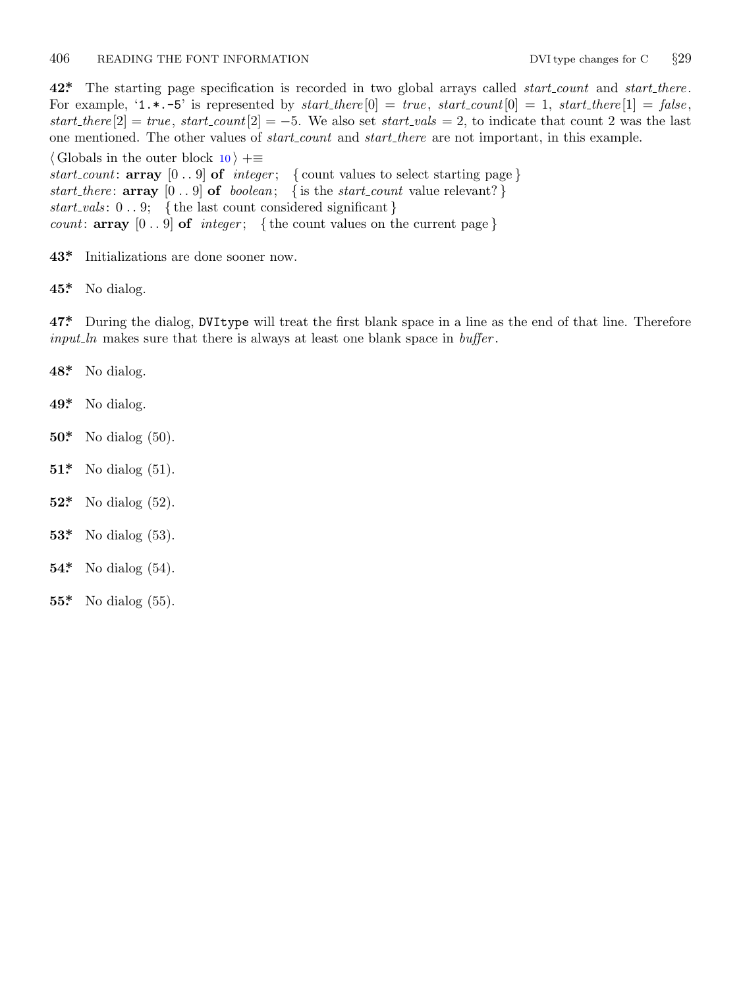# <span id="page-5-0"></span>406 READING THE FONT INFORMATION DVI type changes for C *§*29

**42\*.** The starting page specification is recorded in two global arrays called *start count* and *start there* . For example,  $'1.*.-5'$  is represented by  $start\_there[0] = true$ ,  $start\_count[0] = 1$ ,  $start\_there[1] = false$ ,  $start\text{-}there [2] = true$ ,  $start\text{-}count [2] = -5$ . We also set  $start\text{-}vals = 2$ , to indicate that count 2 was the last one mentioned. The other values of *start count* and *start there* are not important, in this example.

*⟨* Globals in the outer block 10 *⟩* +*≡ start\_count*:  $\text{array}$  [0..9]  $\text{of}$  *integer*; {count values to select starting page} *start there* : **array** [0 *. .* 9] **of** *boolean*; *{* is the *start count* value relevant? *} start vals* : 0 *. .* 9; *{* the last count considered significant *} count*:  $\textbf{array}$  [0 . . 9]  $\textbf{of}$  *integer*; {the count values on the current page}

- **43\*.** Initializations are done sooner now.
- **45\*.** No dialog.

**47\*.** During the dialog, DVItype will treat the first blank space in a line as the end of that line. Therefore *input ln* makes sure that there is always at least one blank space in *buffer* .

- **48\*.** No dialog.
- **49\*.** No dialog.
- **50\*.** No dialog (50).
- **51\*.** No dialog (51).
- **52\*.** No dialog (52).
- **53\*.** No dialog (53).
- **54\*.** No dialog (54).
- **55\*.** No dialog (55).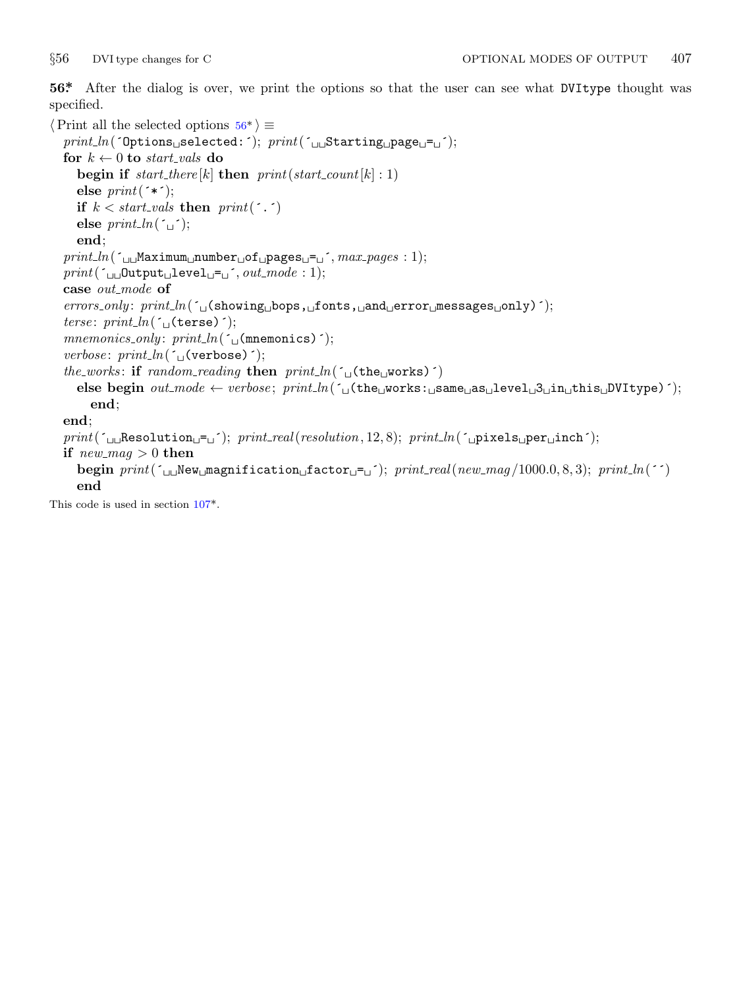<span id="page-6-0"></span>

**56\*.** After the dialog is over, we print the options so that the user can see what DVItype thought was specified.

```
⟨Print all the selected options 56* ⟩ ≡
   print ln(´Options␣selected:´); print(´␣␣Starting␣page␣=␣´);
   for k \leftarrow 0 to start_vals do
      begin if start\text{-}there[k] then print(start\text{-}count[k] : 1)else print(´*´);
      if k < start_vals then print(\cdot, \cdot)else print\_ln(\lceil \rceil);
      end;
   print ln(´␣␣Maximum␣number␣of␣pages␣=␣´, max pages : 1);
   print(\lceil \ln[\text{Output} \log \text{Let} \log \text{Let} \log \text{Let} \log \text{Let} \log \text{Let} \log \text{Let} \log \text{Let} \log \text{Let} \log \text{Let} \log \text{Let} \log \text{Let} \log \text{Let} \log \text{Let} \log \text{Let} \log \text{Let} \log \text{Let} \log \text{Let} \log \text{Let} \log \text{Let} \log \text{Let} \log \text{Let} \log \text{Let} \log \text{Let} \log \text{Let} \log \text{Let} \log \text{Let} \log \text{Let} \log \text{Let} \log \text{Let} \log \text{Letcase out mode of
   errors only : print ln(´␣(showing␣bops,␣fonts,␣and␣error␣messages␣only)´);
   terse: print_ln(´□(terse)´);
   mnemonics_only: print_ln(´□(mnemonics)´);
   verbose: print_ln(´□(verbose)´);
   the_works: if random\_reading then print\_ln(<sup>r</sup>\cup(the\cupworks)<sup>r</sup>)</sub>
      else begin out mode ← verbose ; print ln(´␣(the␣works:␣same␣as␣level␣3␣in␣this␣DVItype)´);
          end;
   end;
   print(´␣␣Resolution␣=␣´); print real(resolution, 12, 8); print ln(´␣pixels␣per␣inch´);
   if new_mag > 0 then
      begin print(´␣␣New␣magnification␣factor␣=␣´); print real(new mag /1000.0, 8, 3); print ln(´´)
      end
This code is used in section 107^*.
```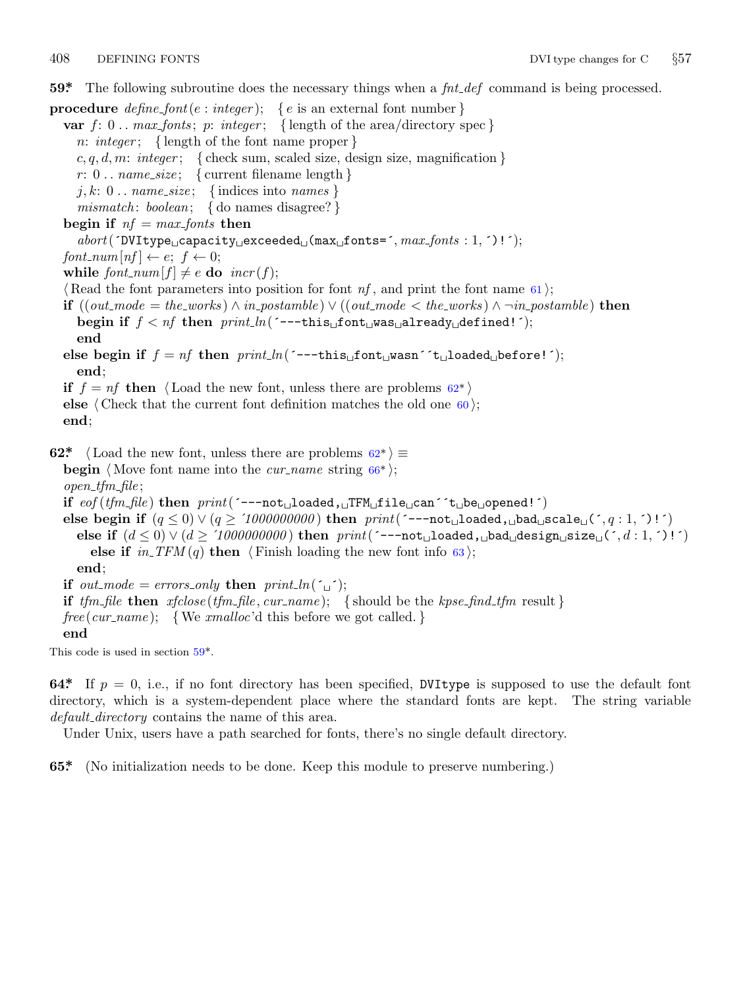<span id="page-7-0"></span>

**59\*.** The following subroutine does the necessary things when a *fnt def* command is being processed.

**procedure** *define\_font*( $e : integer$ ); { $e$  is an external font number} **var**  $f: 0$ ..  $max\_fonts$ ;  $p: integer$ ; {length of the area/directory spec} *n*: *integer* ; *{* length of the font name proper *}*  $c, q, d, m$ : *integer*; { check sum, scaled size, design size, magnification }  $r: 0$ ...  $name\_size$ ; { current filename length } *j, k*: 0 *. . name size* ; *{* indices into *names } mismatch* : *boolean*; *{* do names disagree? *}* **begin if**  $nf = max\_ fonts$  **then** *abort*(´DVItype␣capacity␣exceeded␣(max␣fonts=´*, max fonts* : 1*,* ´)!´); *font\_num*[ $nf$ ]  $\leftarrow e$ ;  $f \leftarrow 0$ ; **while**  $font\_num[f] \neq e$  **do**  $incr(f);$ *⟨* Read the font parameters into position for font *nf* , and print the font name 61 *⟩*; **if**  $((out-mode = the\_works) \land in\_postample) \lor ((out-mode < the\_works) \land \neg in\_postample)$  then **begin if** *f < nf* **then** *print ln*(´−−−this␣font␣was␣already␣defined!´); **end** else begin if  $f = nf$  then  $print\_ln($   $---this \text{if} on t \text{ is an }$   $'t \text{if} \text{:}$   $t \text{ is an } i$   $(t)$ ; **end**; **if**  $f = nf$  **then**  $\langle$  Load the new font, unless there are problems  $62^*$ **else**  $\langle$  Check that the current font definition matches the old one  $\{60\}$ ; **end**; **62\***  $\langle$  Load the new font, unless there are problems  $62^*$   $\equiv$ **begin**  $\langle$  Move font name into the *cur\_name* string  $66^*$ ; *open tfm file* ; **if** *eof* (*tfm file* ) **then** *print*(´−−−not␣loaded,␣TFM␣file␣can´´t␣be␣opened!´) else begin if  $(q ≤ 0) ∨ (q ≥ '1000000000)$  then  $print('---not\_loaded, \text{__bad\_\text{__}scale\_\text{__}(\text{', } q : 1, \text{'})\text{!'}})$ **else if**  $(d ≤ 0) ∨ (d ≥ '1000000000)$  **then**  $print('---not ∪ loaded, ∪bad ∪design ∪size ∪ (', d : 1, ')!)')$ **else if**  $in\_TFM(q)$  **then**  $\langle$  Finish loading the new font info 63 $\rangle$ ; **end**; **if**  $out$ -mode = errors\_only **then**  $print\_ln(\uparrow \qquad \uparrow)$ ; **if** *tfm file* **then** *xfclose* (*tfm file , cur name* ); *{* should be the *kpse find tfm* result *}*  $free(cur_name);$  {We *xmalloc*'d this before we got called. } **end** This code is used in section 59\*.

**64\*** If  $p = 0$ , i.e., if no font directory has been specified, DVItype is supposed to use the default font directory, which is a system-dependent place where the standard fonts are kept. The string variable *default directory* contains the name of this area.

Under Unix, users have a path searched for fonts, there's no single default directory.

**65\*.** (No initialization needs to be done. Keep this module to preserve numbering.)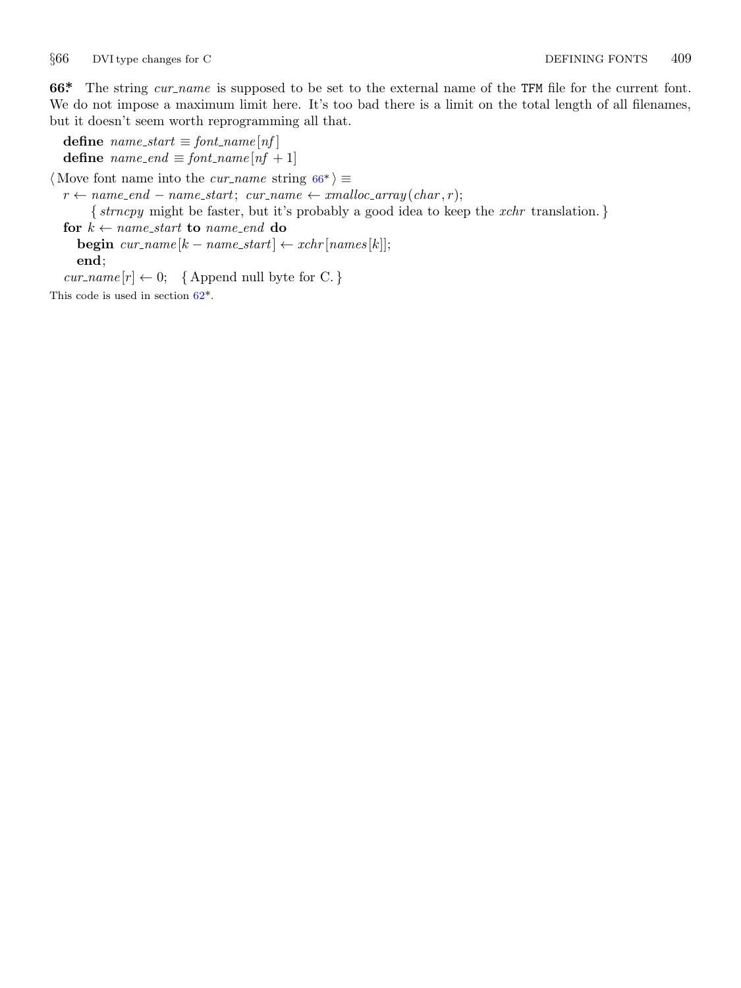<span id="page-8-0"></span>*§*66 DVI type changes for C DEFINING FONTS 409

**66\*** The string *cur name* is supposed to be set to the external name of the TFM file for the current font. We do not impose a maximum limit here. It's too bad there is a limit on the total length of all filenames, but it doesn't seem worth reprogramming all that.

 $\textbf{define}$   $name\_start \equiv font\_name[nf]$ **define**  $name\_end \equiv font\_name[nf + 1]$ 

*⟨* Move font name into the *cur name* string 66\* *⟩ ≡*

 $r \leftarrow name\_end - name\_start$  $r \leftarrow name\_end - name\_start$  $r \leftarrow name\_end - name\_start$ ;  $cur\_name \leftarrow smalloc\_array(char, r)$ ; *{ strncpy* might be faster, but it's probably a good idea to keep the *xchr* translation. *}* **for**  $k \leftarrow name\_start$  **to**  $name\_end$  **do** 

**begin**  $cur\_name[k - name\_start] \leftarrow xchr[names[k]];$ **end**;

 $cur_name[r] \leftarrow 0;$  {Append null byte for C. *}* 

This code is used in section 62\*.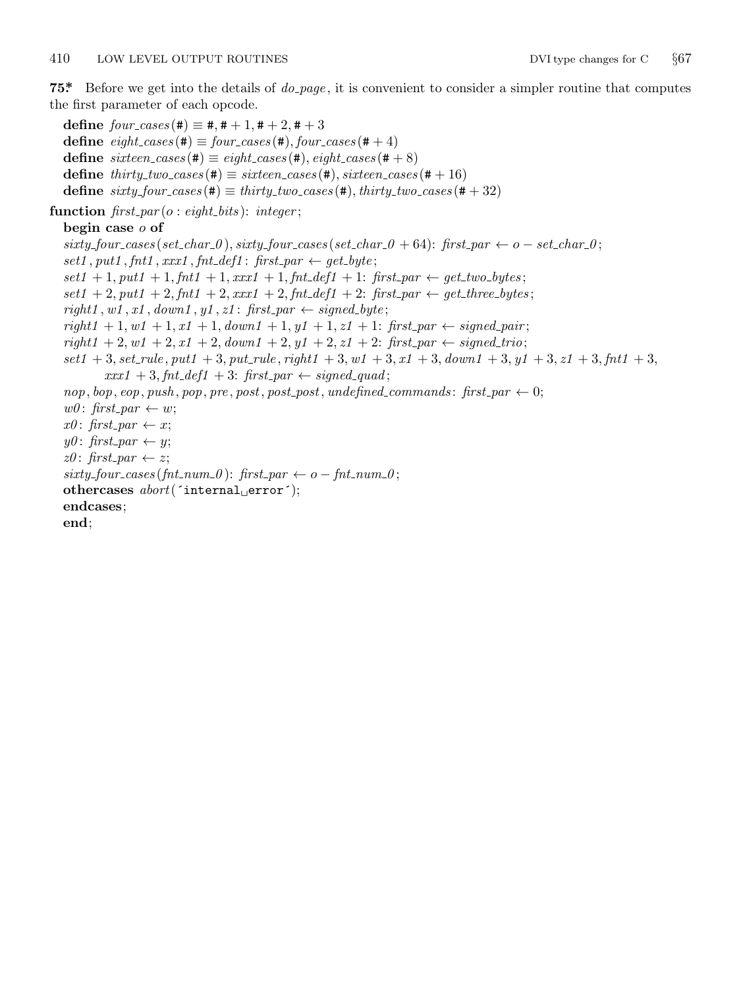<span id="page-9-0"></span>**75\*.** Before we get into the details of *do page* , it is convenient to consider a simpler routine that computes the first parameter of each opcode.

 $\text{define } four\_cases$  (#)  $\equiv$  #, # + 1, # + 2, # + 3  $\text{define } eight\_cases (\#) \equiv four\_cases (\#), four\_cases (\# + 4)$ **define**  $\textit{six}$  *cases* (#)  $\equiv \textit{eight}\textit{cases}$  (#),  $\textit{eight}\textit{cases}$  (#+8) **define**  $thirty\_two\_cases$  (#)  $\equiv$   $sixteen\_cases$  (#),  $sixteen\_cases$  (#+16)  $\text{define } sixty\_four\_cases (\#) \equiv thirty\_two\_cases (\#), thirty\_two\_cases (\# + 32)$ 

**function** *first par* (*o* : *eight bits* ): *integer* ;

# **begin case** *o* **of**

 $sixty\_four\_cases(set\_char\_0), sixty\_four\_cases(set\_char\_0 + 64):$  first\_par  $\leftarrow$  o - set\_char\_0;  $set1, put1, fnt1, xxx1, fnt\_def1: first\_par \leftarrow get\_byte;$  $set1 + 1, put1 + 1, fnt1 + 1, xxx1 + 1, fnt\_def1 + 1$ :  $first\_par \leftarrow get\_two\_bytes;$  $set1 + 2, put1 + 2, fnt1 + 2, xxx1 + 2, fnt\_def1 + 2$ :  $first\_par \leftarrow get\_three\_bytes;$  $right1, wt, x1, down1, y1, z1$ ;  $first\_par \leftarrow signed\_byte;$  $right1 + 1, w1 + 1, x1 + 1, down1 + 1, y1 + 1, z1 + 1$ :  $first\_par \leftarrow signed\_pair$ ;  $right1 + 2, w1 + 2, x1 + 2, down1 + 2, y1 + 2, z1 + 2$ :  $first\_par \leftarrow signed\_trio;$  $set1 + 3, set_{rule}$ ,  $put1 + 3, put_{rule}$ ,  $right1 + 3, wt_{rule}$ ,  $right1 + 3, wt_{1} + 3, out_{1} + 3, out_{1} + 3, out_{1} + 3, out_{1} + 3, out_{1} + 3, out_{1} + 3, out_{1} + 3, out_{1} + 3, out_{1} + 3, out_{1} + 3, out_{1} + 3, out_{1} + 3, out_{1} + 3, out_{1} + 3, out_{1} + 3, out_{1} + 3, out_{1} + 3, out_{1} + 3, out_{1} + 3, out_{1} + 3, out_{1}$  $xxx1 + 3, fnt\_def1 + 3$ :  $first\_par \leftarrow signed\_quad;$ nop, bop, eop, push, pop, pre, post, post\_post, undefined\_commands: first\_par  $\leftarrow 0$ ;  $w0:$  *first\_par*  $\leftarrow w$ ;  $x0:$  *first\_par*  $\leftarrow x$ ;  $y0:$  *first\_par*  $\leftarrow$  *y*;  $z0$ : *first\_par*  $\leftarrow$  *z*;  $sixty\_four\_cases (fnt\_num\_0):$   $first\_par \leftarrow o - fnt\_num\_0;$ **othercases** *abort*(´internal␣error´); **endcases**; **end**;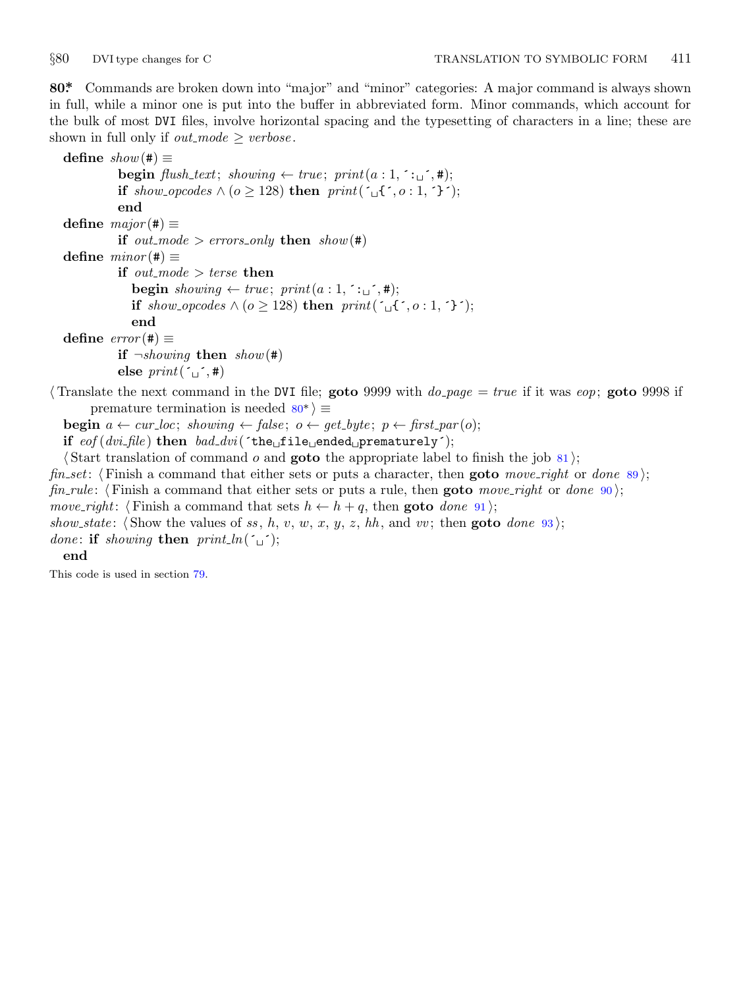<span id="page-10-0"></span>

**80\*.** Commands are broken down into "major" and "minor" categories: A major command is always shown in full, while a minor one is put into the buffer in abbreviated form. Minor commands, which account for the bulk of most DVI files, involve horizontal spacing and the typesetting of characters in a line; these are shown in full only if  $out$ <sub>*mode*  $\ge$  *verbose*.</sub>

**define**  $show(\#) \equiv$ **begin**  $\text{fusion}$   $\text{fush}\text{-}text; showing} \leftarrow \text{true}; \text{print}(a:1,^; \cdot, \cdot,^*)$ ; **if** *show opcodes*  $\land$  (*o* ≥ 128) **then**  $print(\neg$  {  $\neg$  {  $\land$  *, o* : 1,  $\land$  }); **end define**  $major(#) ≡$ **if**  $out$ *mode*  $>$  *errors only* **then**  $show(\#)$  $\text{define } minor(\texttt{\#}) \equiv$ **if**  $out$ *mode*  $>$  *terse* **then begin**  $showing \leftarrow true; print(a:1, : \lceil \cdot \rceil, \lceil \cdot \rceil)$ ; **if** *show opcodes ∧* (*o ≥* 128) **then** *print*(´␣{´*, o* : 1*,* ´}´); **end**  $\text{define } error(\texttt{\#}) \equiv$ **if**  $\neg showing$  **then**  $show(\#)$ **else**  $print(\ulcorner \_ \cdot, \#)$ *⟨* Translate the next command in the DVI file; **goto** 9999 with *do page* = *true* if it was *eop*; **goto** 9998 if

premature termination is needed 80\* *⟩ ≡* **begin**  $a \leftarrow cur\_loc$ ; *showing*  $\leftarrow false$ ;  $o \leftarrow get\_byte$ ;  $p \leftarrow first\_par(o)$ ;

**if** *eof* (*dvi file* ) **then** *bad dvi*(´the␣file␣ended␣prematurely´);

*⟨* Start translation of command *o* and **goto** the appropriate label to finish the job 81 *⟩*;

*fin set*: *⟨* Finish a command that either sets or puts a character, then **goto** *move right* or *done* 89 *⟩*;

*fin\_rule*:  $\langle$  Finish a command that either sets or puts a rule, then **goto** *move\_right* or *done* 90 $\rangle$ ;

*move\_right*:  $\langle$  Finish a command that sets  $h \leftarrow h + q$ , then **goto** *done* 91);

*show\_state*:  $\langle$  Show the values of *ss*, *h*, *v*, *w*, *x*, *y*, *z*, *hh*, and *vv*; then **goto** *done* 93);

*done*: **if** *showing* **then**  $print\_ln(\tilde{\theta})$ ;

### **end**

This code is used in section 79.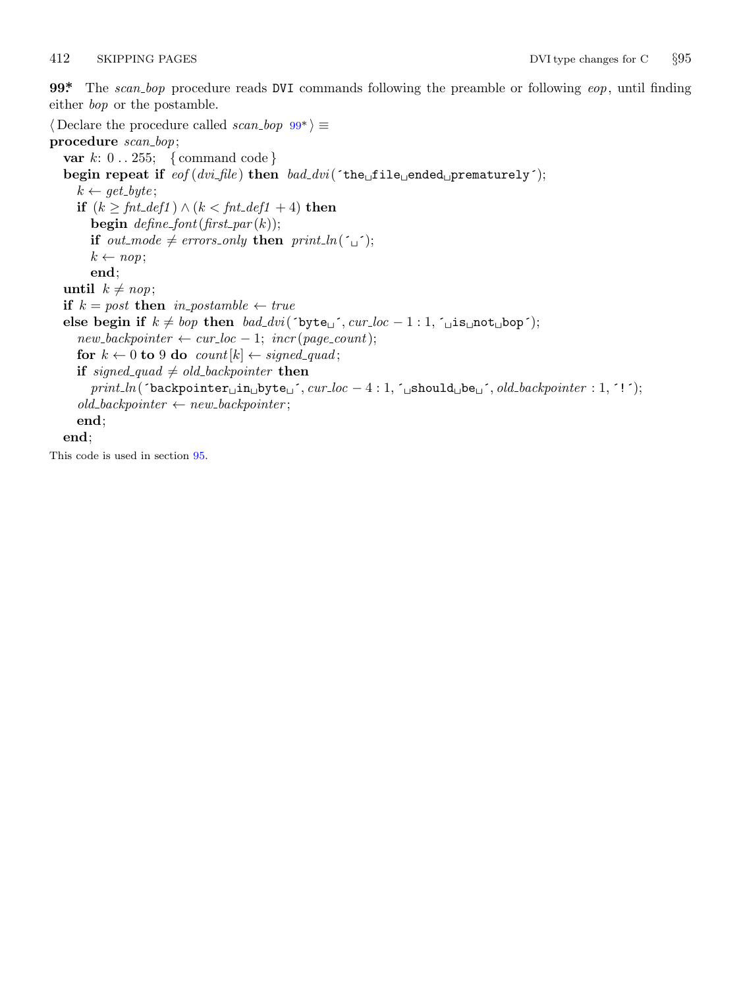<span id="page-11-0"></span>

**99\*.** The *scan bop* procedure reads DVI commands following the preamble or following *eop*, until finding either *bop* or the postamble.

*⟨* Declare the procedure called *scan bop* 99\* *⟩ ≡* **procedure** *scan bop*; **var** *k*: 0 *. .* 255; *{* command code *}* **begin repeat if** *eof* (*dvi file* ) **then** *bad dvi*(´the␣file␣ended␣prematurely´);  $k \leftarrow get\_byte;$ **if**  $(k \geq fnt\_def1)$  ∧  $(k < fnt\_def1 + 4)$  **then begin**  $\text{define\_font}(\text{first\_par}(k));$ **if** *out\_mode*  $\neq$  *errors\_only* **then**  $print\_ln(\uparrow \right)$ ;  $k \leftarrow nop;$ **end**; **until**  $k \neq nop$ ; **if**  $k = post$  **then**  $in\_postample \leftarrow true$ **else begin if**  $k ≠$  *bop* **then**  $bad\_dvi('byte<sub>□</sub>'', *cur\_loc − 1 : 1, \lceil _□is□not□bop' \rceil*;$  $new\_backpointer \leftarrow cur\_loc - 1; incr(page\_count);$ **for**  $k \leftarrow 0$  **to** 9 **do** *count*[ $k$ ]  $\leftarrow$  *signed\_quad*; **if** *signed\_quad*  $\neq$  *old\_backpointer* **then** *print ln*(´backpointer␣in␣byte␣´*, cur loc −* 4 : 1*,* ´␣should␣be␣´*, old backpointer* : 1*,* ´!´);  $old\_backpointer \leftarrow new\_backpointer$ ; **end**; **end**;

This code is used in section 95.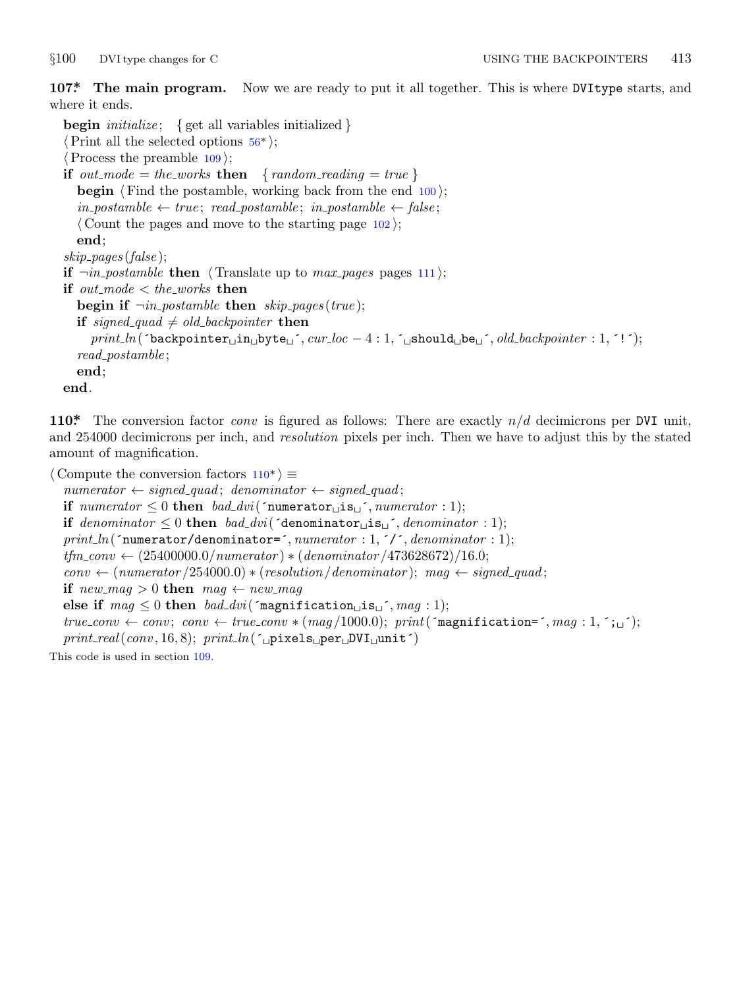<span id="page-12-0"></span>

**107\*. The main program.** Now we are ready to put it all together. This is where DVItype starts, and where it ends.

**begin** *initialize* ; *{* get all variables initialized *} ⟨*Print all the selected options 56\* *⟩*; *⟨*Process the preamble 109 *⟩*; **if**  $out$ *mode* = *thexworks* **then** {  $random$ *reading* = *true* } **begin**  $\langle$  Find the postamble, working back from the end 100 $\rangle$ ;  $in\_postample \leftarrow true; read\_postample; in\_postample \leftarrow false;$ *⟨* Count the pages and move to the starting page 102 *⟩*; **end**; *skip pages* (*false* ); **if**  $\neg$ *in\_postamble* **then**  $\langle$  Translate up to *max\_pages* pages 111 $\rangle$ ; **if**  $out$ *mode*  $\lt$  *theworks* **then begin if**  $\neg in\_{postample}$  **then**  $skip\_{p>page{s}$  (*true*); **if** *signed\_quad*  $\neq$  *old\_backpointer* **then** *print ln*(´backpointer␣in␣byte␣´*, cur loc −* 4 : 1*,* ´␣should␣be␣´*, old backpointer* : 1*,* ´!´); *read postamble* ; **end**; **end**.

**110\*.** The conversion factor *conv* is figured as follows: There are exactly *n/d* decimicrons per DVI unit, and 254000 decimicrons per inch, and *resolution* pixels per inch. Then we have to adjust this by the stated amount of magnification.

*⟨* Compute the conversion factors 110\* *⟩ ≡*  $numerator \leftarrow signed\_quad;$  *denominator*  $\leftarrow signed\_quad;$ **if**  $numerator \leq 0$  **then**  $bad\_divi('numerator \sqcup is \sqcup', numerator : 1);$ **if**  $denominator \leq 0$  **then**  $bad\_div$  ( $\check{\text{denominator}}$ **is**<sub> $\cup$ </sub><sup> $\check{\text{denominator}}$ </sup>); *print ln*(´numerator/denominator=´*, numerator* : 1*,* ´/´*, denominator* : 1);  $t$ *fm*\_conv  $\leftarrow$  (25400000*.0*/*numerator*)  $\ast$  (*denominator* /473628672)/16*.*0;  $conv \leftarrow$  (*numerator* /254000*.*0)  $\ast$  (*resolution* /*denominator*); *mag*  $\leftarrow$  *signed\_quad*; **if**  $new$ *mag*  $> 0$  **then**  $mag \leftarrow new$ *mag* **else if**  $mag \leq 0$  **then**  $bad\_divi$  ('magnification $\text{Li} \text{s}_\text{L}$ '*, mag* : 1);  $true_{conv} \leftarrow conv; conv \leftarrow true_{conv} * (mag/1000.0); print('magnification=', mag: 1, '};...';$ *print real*(*conv ,* 16*,* 8); *print ln*(´␣pixels␣per␣DVI␣unit´) This code is used in section 109.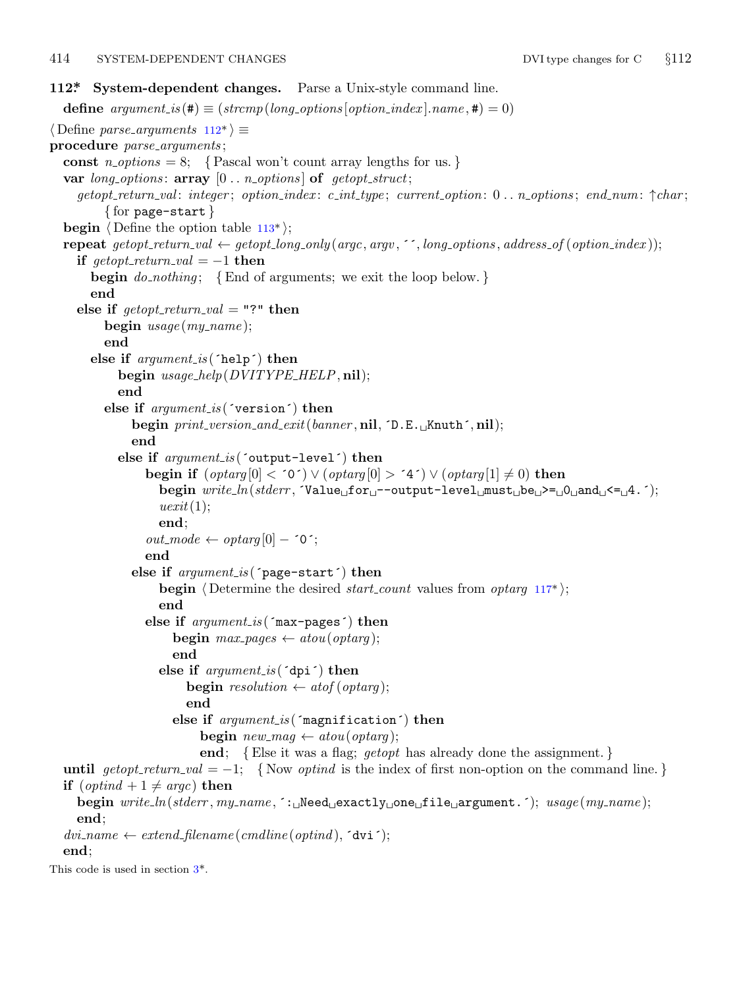## <span id="page-13-0"></span>414 SYSTEM-DEPENDENT CHANGES DVI type changes for C *§*112

```
112*. System-dependent changes. Parse a Unix-style command line.
  define argument_is(\textbf{\#}) \equiv (stromp(long-options[option_index].name, \textbf{\#}) = 0)⟨ Define parse arguments 112* ⟩ ≡
procedure parse arguments ;
  const n\_options = 8; {Pascal won't count array lengths for us.}
  var long options : array [0 . . n options ] of getopt struct;
    getopt_return_val: integer; option_index: c.int_type; current\_option: 0... n\_options; end_number \uparrow char;{ for page−start }
  begin ⟨ Define the option table 113* ⟩;
  repeat getopt_return_val \leftarrow getopt_long_only(argc, argv, '', long_options, address_of(option_index));
    if qetopt\_return\_val = -1 then
       begin do nothing ; {End of arguments; we exit the loop below. }
       end
    else if \text{getopt-return\_val} = "?" then
         begin usage (my name );
         end
       else if argument is (´help´) then
           begin usage help(DVITYPE HELP, nil);
           end
         else if argument is (´version´) then
              begin print version and exit(banner , nil, ´D.E.␣Knuth´, nil);
              end
           else if argument is (´output−level´) then
                begin if (\text{optarg}[0] < 0) \lor (\text{optarg}[0] > 4') \lor (\text{optarg}[1] \neq 0) then
                   begin write ln(stderr , ´Value␣for␣−−output−level␣must␣be␣>=␣0␣and␣<=␣4.´);
                   uexit(1);
                  end;
                outmode \leftarrow optarg[0] - 0;
                end
              else if argument is (´page−start´) then
                  begin ⟨ Determine the desired start count values from optarg 117* ⟩;
                  end
                else if argument is (´max−pages´) then
                     begin max\_pages \leftarrow atou(optarg);end
                   else if argument is (´dpi´) then
                       begin \text{resolution} \leftarrow \text{atof}(\text{optarg});
                       end
                     else if argument is (´magnification´) then
                          begin new\_mag \leftarrow about(optarg);end; {Else it was a flag; getopt has already done the assignment. }
  until al = -1; {Now optind is the index of first non-option on the command line.}
  if (\text{optind} + 1 \neq \text{argc}) then
    begin write ln(stderr , my name , ´:␣Need␣exactly␣one␣file␣argument.´); usage (my name );
    end;
  div_name \leftarrow extend\_filename(cmdline(optind), 'dvi');end;
This code is used in section 3*.
```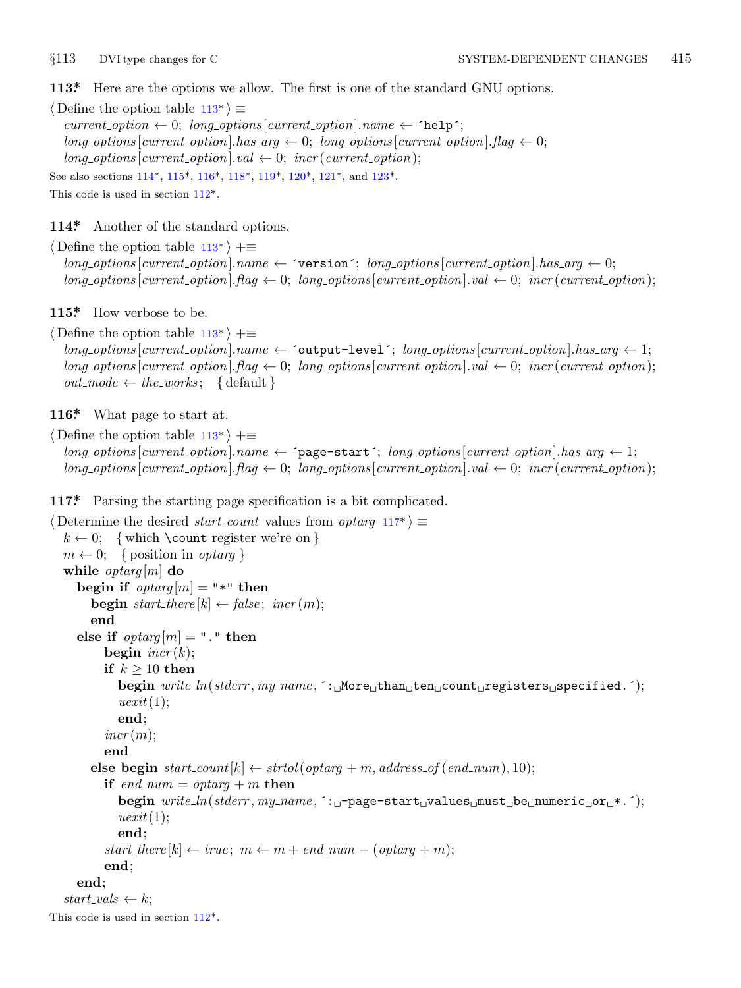<span id="page-14-0"></span>

**113\*.** Here are the opt[ions](#page-13-0) [we a](#page-15-0)ll[ow.](#page-15-0) [The](#page-15-0) fi[rst](#page-15-0) is one [of](#page-15-0) the standard GNU options.

*⟨* Define the option table 113\* *⟩ ≡*  $current\_option \leftarrow 0; long\_options[current\_option].name \leftarrow 'help';$  $long\_options[current\_option].has\_arg \leftarrow 0; long\_options[current\_option].flag \leftarrow 0;$  $long\_\textit{options}$  [*current\_option*]*.val*  $\leftarrow$  0; *incr* (*current\_option*); See also sections 114\*, 115\*, 116\*, 118\*, 119\*, 120\*, 121\*, and 123\*.

This code is used in section 112\*.

**114\*.** Another of the standard options.

*⟨* Define the option table 113\* *⟩* +*≡*  $long\_options[current\_option].name \leftarrow 'version'; long\_options[current\_option].has\_arg \leftarrow 0;$  $long\_options$  [*current\_option*]*.flag*  $\leftarrow 0$ ; *long\_options* [*current\_option*]*.val*  $\leftarrow 0$ ; *incr* (*current\_option*);

**115\*.** How verbose to be.

*⟨* Define the option table 113\* *⟩* +*≡ long options* [*current option*]*.name ←* ´output−level´; *long options* [*current option*]*.has arg ←* 1;  $long\_options$  [ $current\_option$ ]*.* $flag \leftarrow 0$ ;  $long\_options$  [ $current\_option$ ]*.val*  $\leftarrow 0$ ;  $incr$  ( $current\_option$ );  $out$ <sub>*mode*  $\leftarrow$  *the*\_*works*; { default }</sub>

**116\*.** What page to start at.

*⟨* Define the option table 113\* *⟩* +*≡*  $long\_options[current\_option].name ← 'page-start';$   $long\_options[current\_option].has\_arg ← 1;$  $long\_{optim}$  [*current\_option*]*.flag*  $\leftarrow 0$ ; *long\_options* [*current\_option*]*.val*  $\leftarrow 0$ ; *incr* (*current\_option*);

**117\*.** Parsing the starting page specification is a bit complicated.

```
⟨ Determine the desired start count values from optarg 117* ⟩ ≡
  k \leftarrow 0; { which \count register we're on }
  m \leftarrow 0; { position in optarg }
  while optarg [m] do
    begin if optarg[m] = "*" then
       begin start\_there[k] \leftarrow false; incr(m);end
    else if optarg[m] = "." then
         begin incr (k);
         if k ≥ 10 then
           begin write ln(stderr , my name , ´:␣More␣than␣ten␣count␣registers␣specified.´);
            uexit(1);
           end;
         incr (m);
         end
       else begin start\_count[k] \leftarrow strtol(optarg + m, address_of(end_number, 10);if end\_num = optarg + m then
           begin write ln(stderr , my name , ´:␣−page−start␣values␣must␣be␣numeric␣or␣*.´);
            uexit(1);
           end;
         start\_there[k] \leftarrow true; m \leftarrow m + end\_num - (optarg + m);end;
    end;
  start\_vals \leftarrow k;
This code is used in section 112*.
```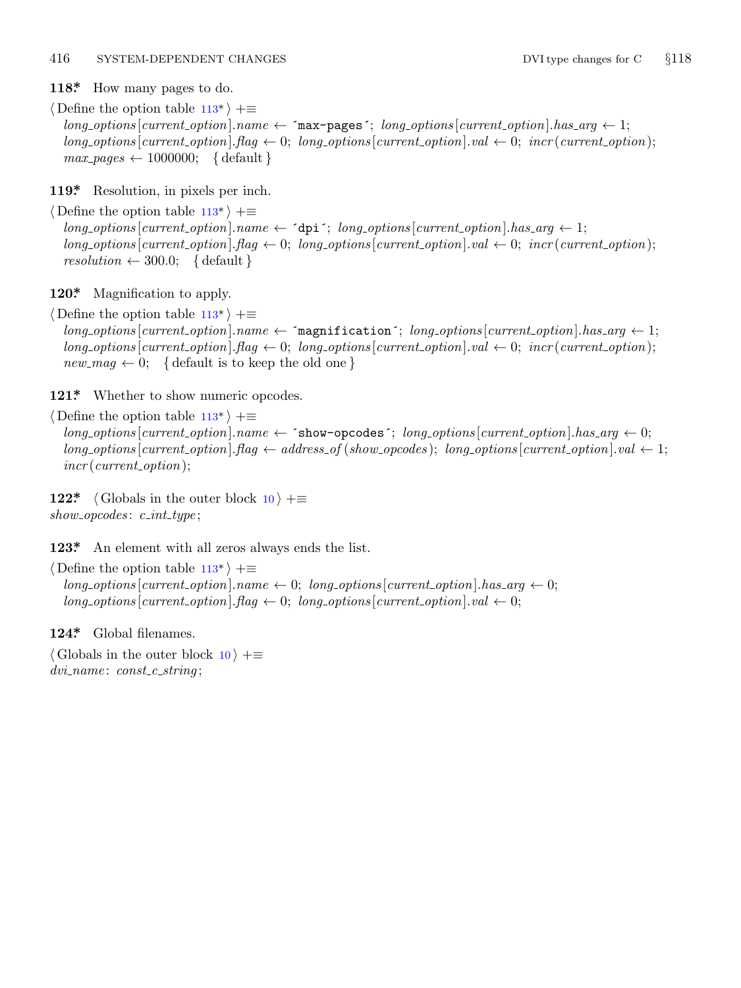<span id="page-15-0"></span>**118\*.** How many pages to do.

*⟨* Define the option table [113](#page-14-0)\* *⟩* +*≡*  $long\_options$  [*current\_option*]*.name*  $\leftarrow$   $\text{{}^{\frown}max-pages'$ ; *long\_options* [*current\_option*]*.has\_arg*  $\leftarrow$  1;  $long\_{optim}$  [*current\_option*]*.flag*  $\leftarrow 0$ ; *long\_options* [*current\_option*]*.val*  $\leftarrow 0$ ; *incr* (*current\_option*);  $max$ -pages  $\leftarrow$  1000000; { default }

**119\*.** Resolution, in pixels per inch.

*⟨* Define the option table [113](#page-14-0)\* *⟩* +*≡*  $long-options[current\_option].name \leftarrow \text{`dpi'}; long\_options[current\_option].has\_arg \leftarrow 1;$  $long\_options$  [current\_option].  $flag \leftarrow 0$ ;  $long\_options$  [current\_option].  $val \leftarrow 0$ ;  $incr$  (current\_option);  $resolution \leftarrow 300.0; \{ default \}$ 

**120\*.** Magnification to apply.

*⟨* Define the option table [113](#page-14-0)\* *⟩* +*≡*

 $long\_options$  [*current\_option*]*.name*  $\leftarrow$   ${``magnitude''}$ ;  $long\_options$  [*current\_option*]*.has\_arg*  $\leftarrow$  1;  $long\_options$  [*current\_option*]*.flag*  $\leftarrow 0$ ; *long\_options* [*current\_option*]*.val*  $\leftarrow 0$ ; *incr* (*current\_option*);  $new_m aq \leftarrow 0$ ; { default is to keep the old one }

121\* Whether to show numeric opcodes.

*⟨* Define the option table 113\* *⟩* +*≡*  $long-options[current\_option].name \leftarrow$  `show-opcodes`;  $long\_options[current\_option].has\_arg \leftarrow 0;$  $long-options[current-option]$ . flag  $\leftarrow$  address\_of (show\_opcodes); long\_options[current\_option].val  $\leftarrow$  1; *incr* (*current option*);

**122\***  $\langle$  Globals in the outer block 10  $\rangle$  + $\equiv$ *show opcodes* : *c int type* ;

**123\*.** An element with all zeros always ends the list.

*⟨* Define the option table 113\* *⟩* +*≡*  $long-options$  [*current\_option*]*.name*  $\leftarrow 0$ ; *long\_options* [*current\_option*]*.has\_arg*  $\leftarrow 0$ ;  $long\_options[current\_option]$ *.*  $flag \leftarrow 0$ ;  $long\_options[current\_option]$ *.*  $val \leftarrow 0$ ;

**124\*.** Global filenames.

*⟨* Globals in the outer block 10 *⟩* +*≡ dvi name* : *const c string* ;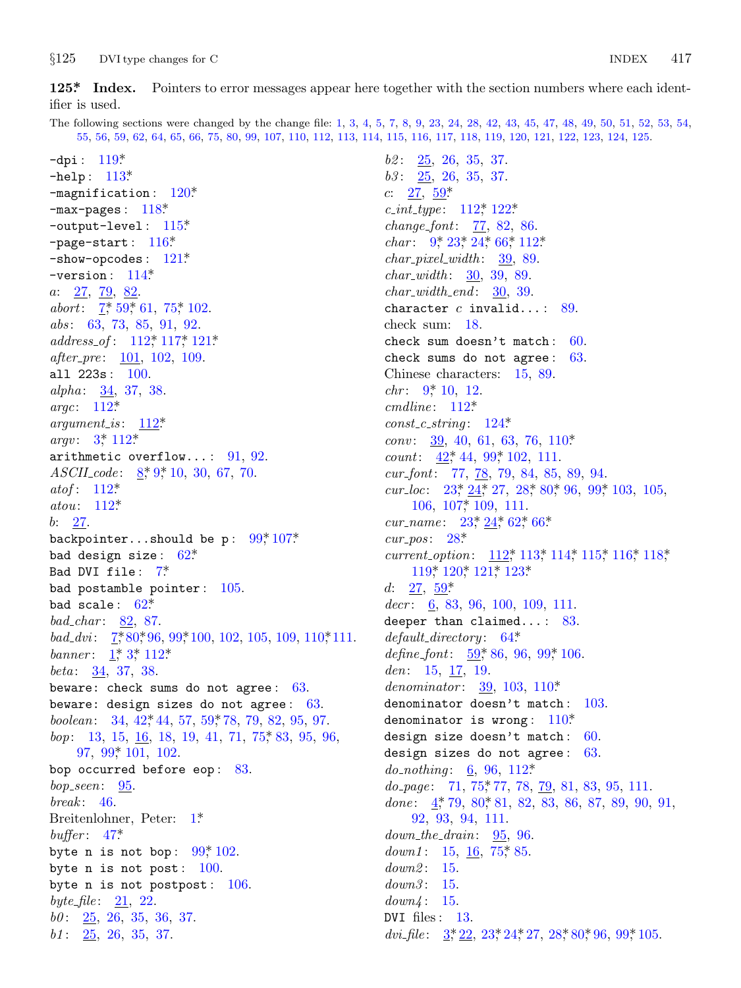<span id="page-16-0"></span> $§125$ DVI type changes for C

125\* Index. Pointers to error messages appear here together with the section numbers where each identifier is used.

The following sections were changed by the change file: 1, 3, 4, 5, 7, 8, 9, 23, 24, 28, 42, 43, 45, 47, 48, 49, 50, 51, 52, 53, 54, 55, 56, 59, 62, 64, 65, 66, 75, 80, 99, 107, 110, 112, 113, 114, 115, 116, 117, 118, 119, 120, 121, 122, 123, 124, 125.

-dpi:  $119^{\ast}$  $-$ help:  $113*$  $-$ magnification:  $120*$  $-max-pages: 118*$ -output-level:  $115^*$ -page-start:  $116*$  $-$ show-opcodes:  $121*$ -version:  $114^*$  $a: \frac{27}{7}, \frac{79}{82}$ abort:  $7, 59, 61, 75, 102$ .  $abs: 63, 73, 85, 91, 92.$  $address\_of: 112, 117, 121$ *after\_pre*: <u>101</u>, 102, 109. all  $223s: 100.$ alpha: 34, 37, 38. argc:  $112^*$  $argument_is: 112*$ *argv*:  $3^{*}$  112<sup>\*</sup> arithmetic overflow...:  $91, 92$ .  $ASCII_code: \frac{8}{3}, 9, 10, 30, 67, 70.$ atof:  $112^*$ atou:  $112^*$  $b: 27.$ backpointer...should be p:  $99^*107^*$ bad design size:  $62*$ Bad DVI file: 7\* bad postamble pointer:  $105$ . bad scale:  $62^*$  $bad\_char: 82, 87.$ bad\_dvi:  $\frac{7!}{5!}80;96,99;100,102,105,109,110;111.$ banner:  $1, 3, 112$ \* *beta*:  $34, 37, 38$ . beware: check sums do not agree:  $63$ . beware: design sizes do not agree:  $63$ . boolean:  $34, 42, 44, 57, 59, 78, 79, 82, 95, 97.$  $bop:$  13, 15, 16, 18, 19, 41, 71, 75, 83, 95, 96, 97, 99, 101, 102. bop occurred before eop:  $83.$  $bop\_seen$ : 95.  $break: 46.$ Breitenlohner, Peter: 1\* buffer:  $47^*$ byte n is not bop:  $99^*102$ . byte n is not post:  $100$ . byte n is not postpost:  $106$ . byte file:  $21, 22$ .  $b0: \quad 25, \ 26, \ 35, \ 36, \ 37.$  $b1: 25, 26, 35, 37.$ 

 $b2: 25, 26, 35, 37.$  $b3: \quad 25, \quad 26, \quad 35, \quad 37.$  $c: \frac{27}{59}$  $c\_int\_type: 112^*122^*$ *change\_font:*  $77, 82, 86$ . *char*:  $9, 23, 24, 66, 112$  $char\_pixel\_width:$  39, 89.  $char\_width: 30, 39, 89.$  $char_width\_end$ : 30, 39. character  $c$  invalid...: 89. check sum: 18. check sum doesn't match:  $60$ . check sums do not agree: 63. Chinese characters: 15, 89. *chr*:  $9*10$ , 12.  $cmdline: 112*$  $const_c\_string: 124*$ *conv*: 39, 40, 61, 63, 76, 110\* *count*:  $42^*$ ,  $44$ ,  $99^*$ ,  $102$ ,  $111$ .  $cur_font: 77, 78, 79, 84, 85, 89, 94.$ cur\_loc:  $23, \frac{24}{1}, 27, 28, 80, 96, 99, 103, 105,$  $106, 107$ <sup>\*</sup>  $109, 111$ . cur\_name:  $23, 24, 62, 66$  $cur_pos: 28^*$ current\_option: 112, 113, 114, 115, 116, 118, 119\* 120\* 121\* 123\* d:  $27, 59^*$  $decr: 6, 83, 96, 100, 109, 111.$ deeper than claimed...:  $83$ .  $default\_directory: 64*$ define\_font:  $\frac{59}{500}$ , 86, 96, 99, 106. den:  $15, 17, 19$ . denominator:  $39, 103, 110^*$ denominator doesn't match: 103. denominator is wrong:  $110^*$ design size doesn't match: 60. design sizes do not agree: 63. *do\_nothing*:  $6, 96, 112$ <sup>\*</sup>  $do\_{page:}\quad 71, 75, 77, 78, 79, 81, 83, 95, 111.$ done:  $4^{\ast}$  79, 80 $^{\ast}$  81, 82, 83, 86, 87, 89, 90, 91, 92, 93, 94, 111.  $down\_the\_drain:$  95, 96. down1: 15,  $16$ , 75, 85.  $down2: 15.$  $down3: 15.$  $down4: 15.$ DVI files:  $13$ . dvi\_file:  $3, 22, 23, 24, 27, 28, 80, 96, 99, 105.$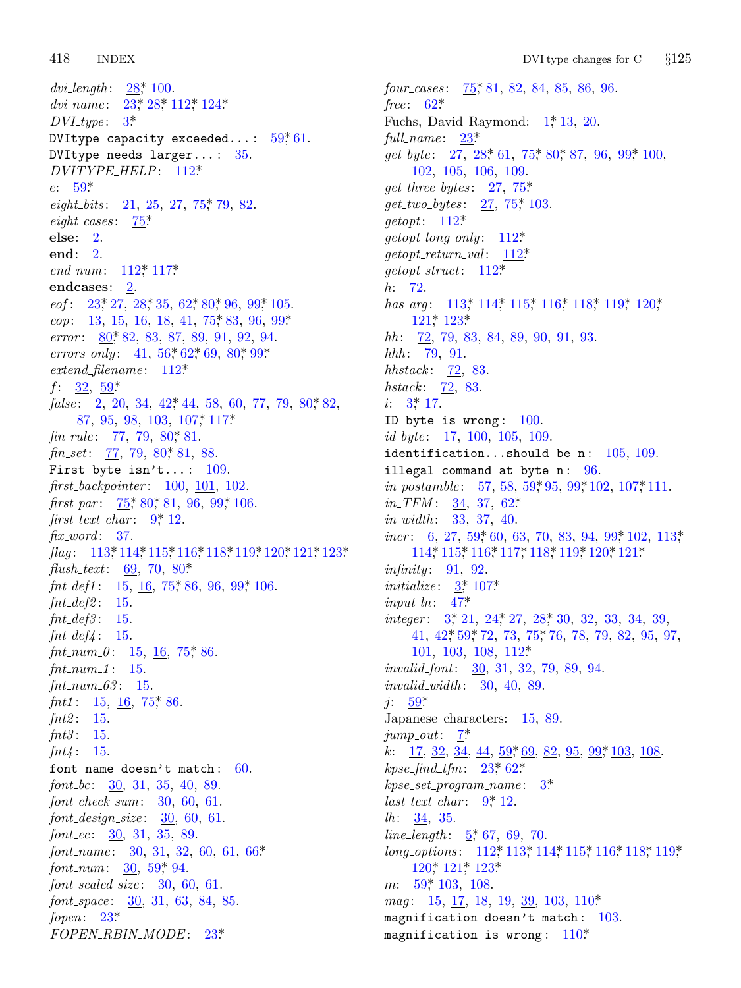418 **INDEX** 

dvi\_length:  $28, 100$ . dvi\_name:  $23^*28^*112^*124^*$  $DVI_type: 3^*$ DVItype capacity exceeded...:  $59,61$ . DVItype needs  $larger... 35$ . DVITYPE\_HELP: 112\*  $e: 59^*$ eight\_bits:  $21, 25, 27, 75, 79, 82$ .  $eight\_cases: 75^*$  $else: 2.$ end:  $2$ . end\_num:  $112$ <sup>\*</sup>, 117<sup>\*</sup> endcases: 2.  $eof: 23, 27, 28, 35, 62, 80, 96, 99, 105.$ *eop*: 13, 15, <u>16</u>, 18, 41, 75, 83, 96, 99<sup>\*</sup> error: 80, 82, 83, 87, 89, 91, 92, 94. errors\_only:  $41, 56, 62, 69, 80, 99$ \*  $extend\_filename: 112*$  $f: \frac{32}{2}, \frac{59}{3}$  $false: 2, 20, 34, 42, 44, 58, 60, 77, 79, 80, 82,$ 87, 95, 98, 103, 107, 117\*  $fin_{\text{--}rule:}$ :  $77, 79, 80, 81.$  $\mathit{fin}\_set:$  77, 79, 80, 81, 88. First byte isn't...:  $109$ .  $first\text{-}backpointer: 100, 101, 102.$ first\_par:  $\frac{75}{5}$ , 80, 81, 96, 99, 106. first\_text\_char:  $9^*$ , 12.  $\operatorname{fix\_word}:$  37.  $Haq: 113*114*115*116*118*119*120*121*123*$  $flush\_text: 69, 70, 80*$ fnt\_def1: 15, 16, 75\* 86, 96, 99\* 106.  $fnt\_def2: 15.$  $fnt\_def3: 15.$  $\int \int f \, d\mu \, d\mu = \int f \, d\mu$ fnt\_num\_0: 15,  $16$ , 75, 86.  $fnt_number1: 15.$  $fnt_{num_63}: 15$ .  $fnt1: 15, 16, 75$ \* 86.  $fnt2: 15.$  $fnt3: 15.$  $fnt4: 15.$ font name doesn't match:  $60$ . font\_bc:  $\frac{30}{31}$ , 31, 35, 40, 89.  $font\_check\_sum: 30, 60, 61.$  $font\_design\_size: 30, 60, 61.$  $font\_ec: 30, 31, 35, 89.$ font\_name:  $30, 31, 32, 60, 61, 66*$ *font\_num:*  $\frac{30}{59}$ , 59<sup>\*</sup>, 94.  $font\_scaled\_size: 30, 60, 61.$  $font\_space: 30, 31, 63, 84, 85.$ fopen:  $23^*$ FOPEN\_RBIN\_MODE: 23\*

four\_cases: 75, 81, 82, 84, 85, 86, 96. free:  $62^*$ Fuchs, David Raymond:  $1^*$ , 13, 20. full\_name:  $23^*$  $get\_byte: \quad 27, \ 28, \ 61, \ 75, \ 80, \ 87, \ 96, \ 99, \ 100,$ 102, 105, 106, 109.  $get\_three\_bytes: \quad 27, 75^*$  $get\_two\_bytes: \quad 27, 75, 103.$  $getopt: 112*$  $qetopt\_long\_only: 112^*$  $getopt\_return\_val:$  112\*  $getopt\_struct: 112*$  $h: 72.$ has\_arg:  $113$ <sup>\*</sup>,  $114$ <sup>\*</sup>,  $115$ <sup>\*</sup>,  $116$ <sup>\*</sup>,  $118$ <sup>\*</sup>,  $119$ <sup>\*</sup>,  $120$ <sup>\*</sup>,  $121^*$  123\*  $hh:$  72, 79, 83, 84, 89, 90, 91, 93. *hhh*:  $79, 91$ . *hhstack*:  $\frac{72}{3}$ , 83. *hstack*:  $\frac{72}{3}$ , 83.  $i: 3^* 17.$ ID byte is wrong:  $100$ .  $id\_byte: 17, 100, 105, 109.$ identification...should be n:  $105, 109$ . illegal command at byte  $n: 96$ . *in\_postamble:*  $\frac{57}{56}$ , 58, 59, 95, 99, 102, 107, 111. *in\_TFM*:  $\frac{34}{37}$ , 62\*  $in\_width$ : 33, 37, 40. *incr*: 6, 27, 59, 60, 63, 70, 83, 94, 99, 102, 113, 114\* 115\* 116\* 117\* 118\* 119\* 120\* 121\* *infinity*  $91, 92$ . *initialize:*  $3 \div 107$  $input\_ln: 47^*$ *integer*:  $3, 21, 24, 27, 28, 30, 32, 33, 34, 39,$  $41, 42, 59, 72, 73, 75, 76, 78, 79, 82, 95, 97,$  $101, 103, 108, 112*$ *invalid\_font:* 30, 31, 32, 79, 89, 94. *invalid\_width*:  $30, 40, 89$ .  $j: 59^*$ Japanese characters: 15, 89.  $jump_out: \mathbf{Z}^*$ k:  $17, 32, 34, 44, 59, 69, 82, 95, 99, 103, 108.$  $kpc\_find\_tfm: 23, 62*$  $k$ pse\_set\_program\_name:  $3^*$  $last\_text\_char: 9^*12.$  $lh: 34, 35.$ *line\_length*:  $5, 67, 69, 70$ . long\_options: 112,\* 113,\* 114,\* 115,\* 116,\* 118,\* 119,\* 120\* 121\* 123\*  $m: \frac{59}{2}, \frac{103}{2}, \frac{108}{2}.$ *mag*: 15,  $\frac{17}{16}$ , 18, 19, <u>39</u>, 103, 110\* magnification doesn't match: 103. magnification is wrong:  $110*$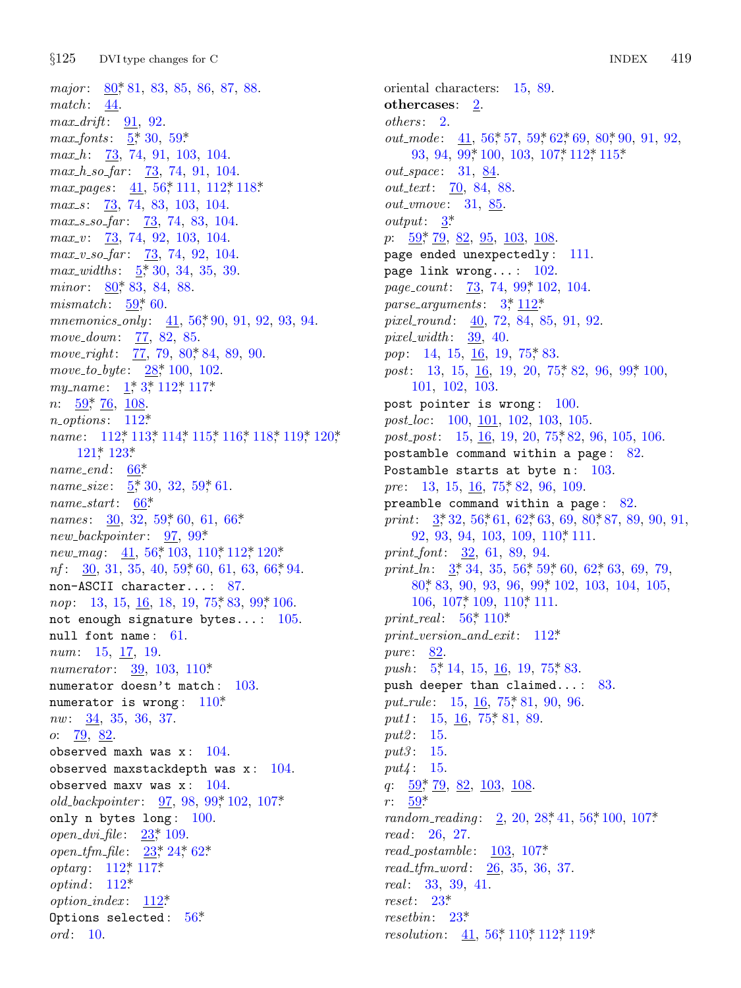major: 80, 81, 83, 85, 86, 87, 88.  $match: 44.$  $max\_drift: 91, 92.$  $max_fonts: 5, 30, 59$ *max\_h*:  $\frac{73}{73}$ , 74, 91, 103, 104.  $max\_h\_so\_far:$   $\frac{73}{74}$ , 74, 91, 104. max\_pages:  $41, 56$ , 111, 112, 118.  $max_s$ :  $73, 74, 83, 103, 104.$  $max_s$  so far:  $\frac{73}{73}$ , 74, 83, 104.  $max_v: 73, 74, 92, 103, 104.$  $max_v\_{so-far}:$  73, 74, 92, 104.  $max_widths: \frac{5}{2}, \frac{30}{3}, \frac{34}{3}, \frac{35}{39}.$ minor: 80, 83, 84, 88. mismatch:  $\frac{59}{60}$ . mnemonics\_only:  $41, 56, 90, 91, 92, 93, 94$ . move\_down: 77, 82, 85. move\_right:  $77, 79, 80, 84, 89, 90$ . move\_to\_byte:  $28$ <sup>\*</sup>, 100, 102. my\_name:  $1, 3, 112, 117.$  $n: 59, 76, 108.$  $n\_options: 112*$ name: 112,\* 113,\* 114,\* 115,\* 116,\* 118,\* 119,\* 120,\* 121\* 123\*  $name\_end: 66*$ name\_size:  $\frac{5}{3}$ , 30, 32, 59, 61.  $name\_start:$  66\* names:  $30, 32, 59, 60, 61, 66$ \*  $new\_\\nbackslash\$  new backpointer: 97, 99\* *new\_mag*:  $41, 56, 103, 110, 112, 120$ \*  $nf:$  30, 31, 35, 40, 59, 60, 61, 63, 66, 94. non-ASCII character...: 87. nop: 13, 15, 16, 18, 19, 75, 83, 99, 106. not enough signature bytes...:  $105$ . null font name: 61. *num*: 15, 17, 19. *numerator*:  $39, 103, 110^*$ numerator doesn't match: 103. numerator is wrong:  $110^*$  $nw: 34, 35, 36, 37.$ *o*:  $\frac{79}{9}$ ,  $\frac{82}{9}$ . observed maxh was  $x: 104$ . observed maxstackdepth was  $x: 104$ . observed maxv was  $x: 104$ . old\_backpointer:  $97, 98, 99^*102, 107^*$ only n bytes  $long: 100$ . open\_dvi\_file:  $23^*$  109. open\_tfm\_file:  $23$ <sup>\*</sup>,  $24$ <sup>\*</sup>,  $62$ <sup>\*</sup> *optarg*:  $112^*$ ,  $117^*$  $optind: 112*$ *option\_index*:  $112^*$ Options selected:  $56*$  $\textit{ord}: 10.$ 

oriental characters: 15, 89. othercases:  $2$ .  $others: 2.$ *out\_mode:* 41, 56, 57, 59, 62, 69, 80, 90, 91, 92, 93, 94, 99\* 100, 103, 107\* 112\* 115\* *out\_space*: 31, 84. *out\_text*: 70, 84, 88. *out\_vmove*: 31, 85. *output*:  $3^*$  $p: \frac{59}{79}, \frac{79}{82}, \frac{82}{95}, \frac{103}{108}, \frac{108}{95}$ page ended unexpectedly: 111. page link wrong...:  $102$ . *page\_count:* 73, 74, 99, 102, 104. parse\_arguments:  $3, \frac{112^*}{2}$ pixel\_round:  $40, 72, 84, 85, 91, 92$ .  $pixel_width: 39, 40.$ pop: 14, 15, 16, 19, 75, 83. post: 13, 15, 16, 19, 20, 75, 82, 96, 99, 100, 101, 102, 103. post pointer is wrong:  $100$ . post\_loc: 100, 101, 102, 103, 105. *post\_post*: 15,  $\underline{16}$ , 19, 20, 75, 82, 96, 105, 106. postamble command within a page: 82. Postamble starts at byte  $n: 103$ . *pre*: 13, 15, 16, 75, 82, 96, 109. preamble command within a page:  $82$ . print:  $3, 32, 56, 61, 62, 63, 69, 80, 87, 89, 90, 91,$ 92, 93, 94, 103, 109, 110, 111. *print\_font:* 32, 61, 89, 94. print\_ln:  $3, 34, 35, 56, 59, 60, 62, 63, 69, 79$ ,  $80*83, 90, 93, 96, 99*102, 103, 104, 105,$  $106, 107, 109, 110, 111.$ print\_real:  $56^*$  110\*  $print\_version\_and\_exit: 112*$  $pure: \underline{82}$ . *push*:  $5, 14, 15, 16, 19, 75, 83.$ push deeper than claimed...: 83. put\_rule: 15, 16, 75, 81, 90, 96. put1:  $15, 16, 75, 81, 89$ . *put2*: 15. *put3*: 15.  $put4: 15.$ q:  $\frac{59}{7}$ ,  $\frac{79}{2}$ ,  $\frac{82}{103}$ ,  $\frac{108}{108}$ .  $r: 59^*$ random\_reading:  $2, 20, 28, 41, 56, 100, 107$ \*  $read: 26, 27.$  $read\_postamble: 103, 107*$  $read\_tfm\_word: 26, 35, 36, 37.$  $real: 33, 39, 41.$  $reset: 23*$  $resetbin: 23^*$ 

*resolution*:  $41, 56, 110, 112, 119$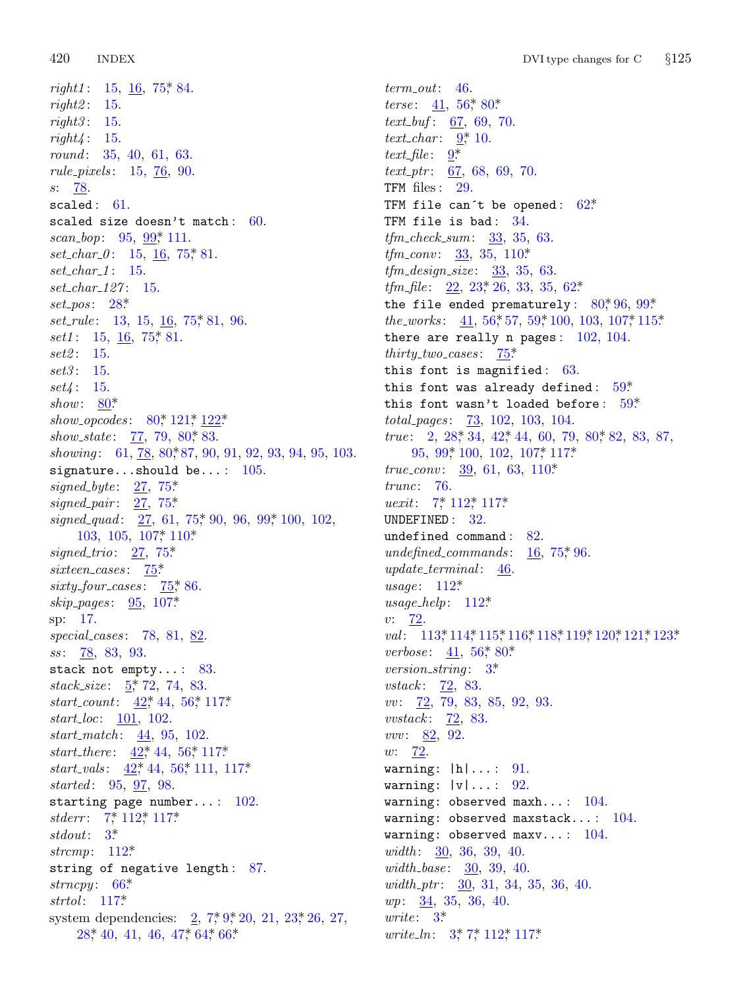420 **INDEX** 

 $right1: 15, 16, 75, 84.$  $right2: 15.$  $right3: 15.$  $right4: 15.$ round: 35, 40, 61, 63. *rule\_pixels*:  $15, \frac{76}{90}$ .  $s: 78$ scaled:  $61.$ scaled size doesn't match:  $60$ . scan\_bop:  $95, 99, 111$ .  $set_{char_0}$ : 15, 16, 75, 81.  $set_{char_1}: 15.$  $set_{char\_127}: 15.$  $set\_pos: 28^*$ *set\_rule*: 13, 15,  $\underline{16}$ , 75, 81, 96. *set1*: 15, 16, 75, 81.  $set2: 15.$  $set3: 15.$  $set4: 15.$ show:  $80^*$ show\_opcodes:  $80^*$ ,  $121^*$ ,  $122^*$ show\_state:  $\frac{77}{7}$ , 79, 80, 83. showing: 61, 78, 80, 87, 90, 91, 92, 93, 94, 95, 103. signature...should be...:  $105$ . signed\_byte:  $27, 75^*$ signed\_pair:  $27, 75$ \* signed\_quad:  $27, 61, 75, 90, 96, 99, 100, 102$ ,  $103, 105, 107, 110$ \* *signed\_trio*:  $27, 75$ <sup>\*</sup>  $s$ *ixteen\_cases*:  $75$ <sup>\*</sup> sixty\_four\_cases:  $75$ , 86. *skip\_pages*:  $95, 107*$ sp: 17.  $special\_cases: 78, 81, 82.$  $ss: 78, 83, 93.$ stack not empty...:  $83$ .  $stack\_size: 5, 72, 74, 83.$ start\_count:  $42^*$ , 44, 56<sup>\*</sup>, 117<sup>\*</sup>  $start\_loc: 101, 102.$ *start\_match*:  $44, 95, 102$ . start\_there:  $42^*$ ,  $44$ ,  $56^*$ ,  $117^*$ start\_vals:  $42^*$ , 44, 56, 111, 117\* *started*: 95, 97, 98. starting page number...:  $102$ . stderr:  $7^*$  112\* 117\* stdout:  $3^*$ strcmp:  $112^*$ string of negative length:  $87$ .  $strong: 66*$ strtol:  $117^*$ system dependencies:  $2, 7, 9, 20, 21, 23, 26, 27,$  $28, 40, 41, 46, 47, 64, 66$ 

 $term\_out: 46$ . *terse:*  $41, 56, 80$  $text_buf: 67, 69, 70.$  $text_{cchar}: 9, 10.$ text\_file:  $9^*$ *text\_ptr*:  $\underline{67}$ ,  $68$ ,  $69$ , 70. TFM files: 29. TFM file can't be opened:  $62^*$ TFM file is bad: 34.  $tfm\_check\_sum: 33, 35, 63.$ *tfm\_conv:*  $33, 35, 110$ \*  $tfm\_design\_size:$   $\frac{33}{35}$ , 35, 63. *tfm\_file*:  $22, 23, 26, 33, 35, 62$ <sup>\*</sup> the file ended prematurely:  $80^*$ ,  $96$ ,  $99^*$ *the\_works*:  $41, 56, 57, 59, 100, 103, 107, 115$ there are really n pages:  $102, 104$ . *thirty\_two\_cases:*  $75^*$ this font is magnified:  $63$ . this font was already defined:  $59*$ this font wasn't loaded before:  $59*$  $total_pages: 73, 102, 103, 104.$ *true*: 2, 28, 34, 42, 44, 60, 79, 80, 82, 83, 87,  $95, 99, 100, 102, 107, 117$ *true\_conv*:  $\frac{39}{61}$ , 63, 110\*  $trunc: 76.$ *uexit*:  $7, 112, 117$ UNDEFINED: 32. undefined command:  $82$ . undefined\_commands:  $16.75$ \* 96.  $update\_terminal:$ 46. usage:  $112^*$  $usage\_help: 112*$  $v: \frac{72}{2}$ val: 113\* 114\* 115\* 116\* 118\* 119\* 120\* 121\* 123\* *verbose*:  $41, 56$ <sup>\*</sup>, 80<sup>\*</sup> version\_string:  $3^*$ *vstack*:  $\frac{72}{6}$ , 83.  $vv: 72, 79, 83, 85, 92, 93.$ *vvstack*: 72, 83. *vvv*:  $82, 92$ .  $w: 72.$ warning:  $|h|...: 91$ . warning:  $|v| \dots$  92. warning: observed maxh...:  $104$ . warning: observed maxstack...:  $104$ . warning: observed maxv...:  $104$ . width:  $30, 36, 39, 40.$ width\_base:  $\frac{30}{50}$ , 39, 40. width\_ptr:  $\frac{30}{31}$ , 31, 34, 35, 36, 40.  $wp: \frac{34}{5}, 35, 36, 40.$ *urite*:  $3^*$ *write\_ln:*  $3, 7, 112, 117$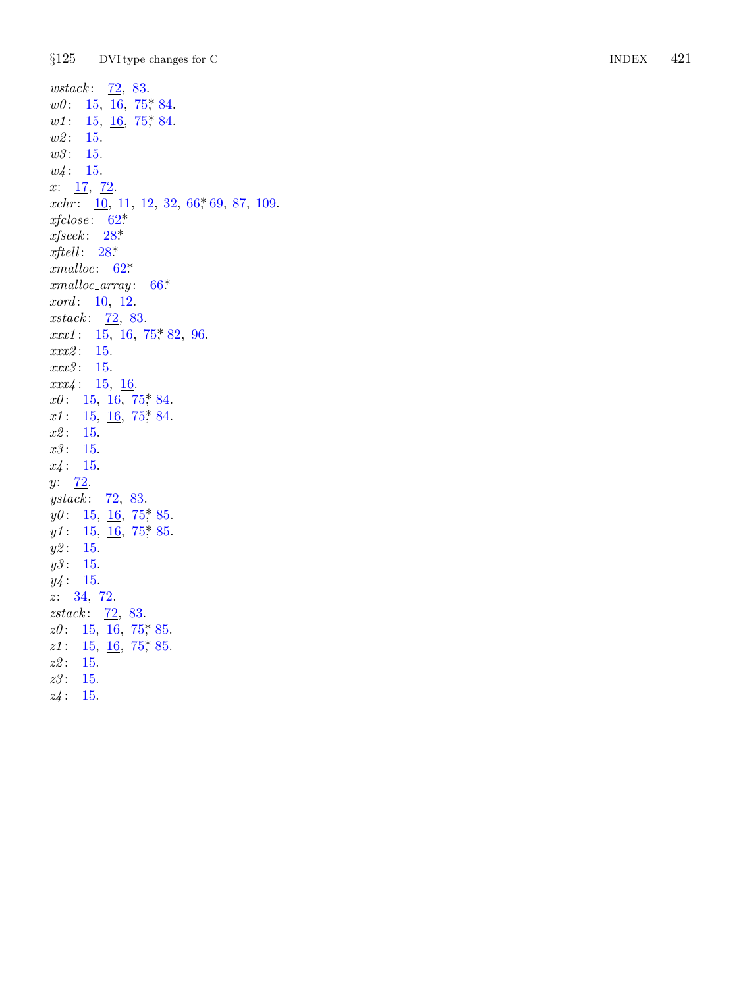$§125$ DVI type changes for C

 $wstack: \quad \underline{72}, \ 83.$  $w0: 15, \underline{16}, 75, 84.$  $wl: 15, 16, 75, 84.$  $w2: 15.$  $w3: 15.$  $w4: 15.$  $x: \frac{17}{72}.$  $xchr: \underline{10}$ , 11, 12, 32, 66, 69, 87, 109.  $xfclose: 62*$  $x \text{fseek}: 28^*$ xftell:  $28^*$  $cmalloc: 62*$  $cmalloc\_array: 66*$ *xord*:  $10, 12.$ xstack:  $\overline{72}$ , 83.  $xxx1: 15, 16, 75, 82, 96.$  $xxx2: 15.$ xxx3: 15.  $xxx4: 15, 16.$  $x0: 15, 16, 75, 84.$  $x1: 15, \underline{16}, 75, 84.$  $x2: 15.$  $x3: 15.$  $x4: 15.$  $y: \frac{72}{.}$ *ystack*:  $72, 83$ .  $y0: 15, 16, 75, 85.$  $y1:$  15,  $\overline{16}$ , 75, 85.  $y2: 15.$  $y3: 15.$  $y4: 15.$  $z: \frac{34}{72}.$ *zstack*:  $72, 83$ .  $z0: 15, \underline{16}, 75, 85.$  $z1: 15, \underline{16}, 75, 85.$  $z2: 15.$  $z3: 15.$  $z4: 15.$ 

**INDEX** 421